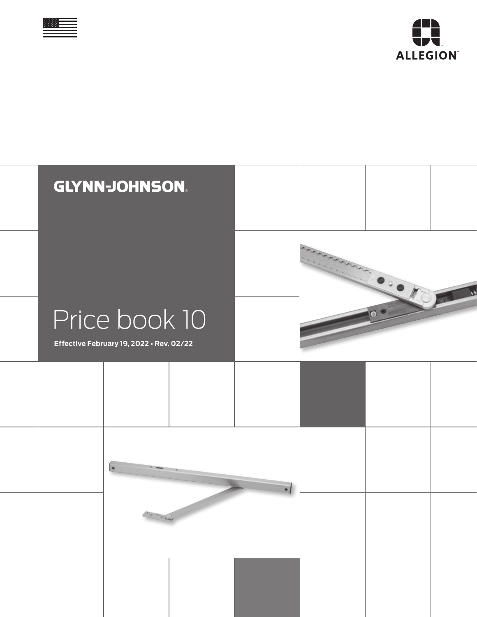



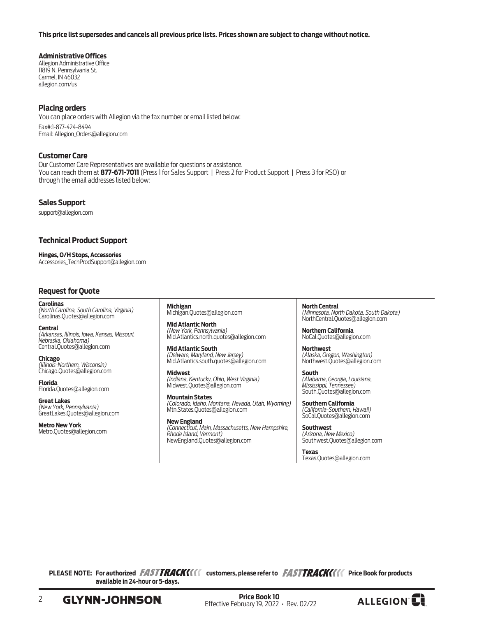#### <span id="page-1-0"></span>**This price list supersedes and cancels all previous price lists. Prices shown are subject to change without notice.**

#### **Administrative Offices**

Allegion Administrative Office 11819 N. Pennsylvania St. Carmel, IN 46032 allegion.com/us

#### **Placing orders**

You can place orders with Allegion via the fax number or email listed below: Fax#:1-877-424-8494 Email: Allegion\_Orders@allegion.com

#### **Customer Care**

Our Customer Care Representatives are available for questions or assistance. You can reach them at **877-671-7011** (Press 1 for Sales Support | Press 2 for Product Support | Press 3 for RSO) or through the email addresses listed below:

#### **Sales Support**

support@allegion.com

#### **Technical Product Support**

**Hinges, O/H Stops, Accessories** Accessories\_TechProdSupport@allegion.com

#### **Request for Quote**

**Carolinas** *(North Carolina, South Carolina, Virginia)*  Carolinas.Quotes@allegion.com

**Central**  *(Arkansas, Illinois, Iowa, Kansas, Missouri, Nebraska, Oklahoma)* Central.Quotes@allegion.com

**Chicago**  *(Illinois-Northern, Wisconsin)* Chicago.Quotes@allegion.com

**Florida** Florida.Quotes@allegion.com

**Great Lakes**  *(New York, Pennsylvania)* GreatLakes.Quotes@allegion.com

**Metro New York** Metro.Quotes@allegion.com **Michigan** Michigan.Quotes@allegion.com

**Mid Atlantic North** *(New York, Pennsylvania)* Mid.Atlantics.north.quotes@allegion.com

**Mid Atlantic South** *(Delware, Maryland, New Jersey)* Mid.Atlantics.south.quotes@allegion.com

**Midwest** *(Indiana, Kentucky, Ohio, West Virginia)* Midwest.Quotes@allegion.com

**Mountain States**  *(Colorado, Idaho, Montana, Nevada, Utah, Wyoming)* Mtn.States.Quotes@allegion.com

**New England** *(Connecticut, Main, Massachusetts, New Hampshire, Rhode Island, Vermont)* NewEngland.Quotes@allegion.com

**North Central**  *(Minnesota, North Dakota, South Dakota)* NorthCentral.Quotes@allegion.com

**Northern California**  NoCal.Quotes@allegion.com

**Northwest** *(Alaska, Oregon, Washington)* Northwest.Quotes@allegion.com

**South** *(Alabama, Georgia, Louisiana, Mississippi, Tennessee)* South.Quotes@allegion.com

**Southern California**  *(California-Southern, Hawaii)* SoCal.Quotes@allegion.com

**Southwest**  *(Arizona, New Mexico)* Southwest.Quotes@allegion.com

**Texas** Texas.Quotes@allegion.com

PLEASE NOTE: For authorized FASTTRACKIIII customers, please refer to FASTTRACKIII Price Book for products **available in 24-hour or 5-days.** 

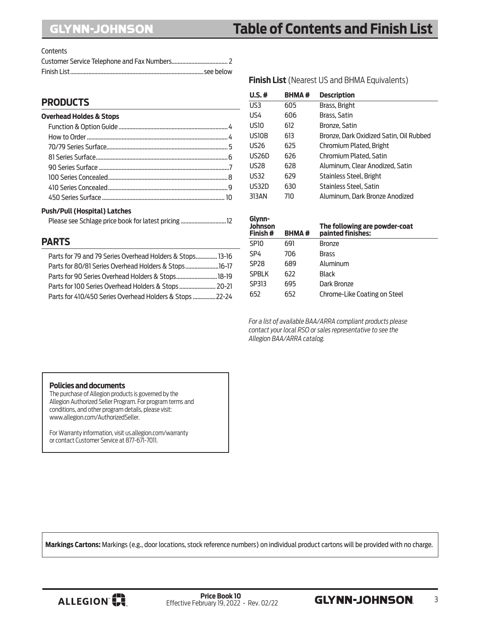| Lontents |  |
|----------|--|
|          |  |
|          |  |

### **[PRODUCTS](#page-3-0)**

Contents

| <b>Overhead Holdes &amp; Stops</b> |  |  |
|------------------------------------|--|--|
|------------------------------------|--|--|

### **[Push/Pull \(Hospital\) Latches](#page-10-0)**

### **[PARTS](#page-11-0)**

| Parts for 79 and 79 Series Overhead Holders & Stops 13-16 |  |
|-----------------------------------------------------------|--|
| Parts for 80/81 Series Overhead Holders & Stops16-17      |  |
| Parts for 90 Series Overhead Holders & Stops18-19         |  |
|                                                           |  |
| Parts for 410/450 Series Overhead Holders & Stops  22-24  |  |

### **Finish List** (Nearest US and BHMA Equivalents)

| $U.S.$ #           | <b>BHMA#</b> | <b>Description</b>                      |
|--------------------|--------------|-----------------------------------------|
| US3                | 605          | Brass, Bright                           |
| US4                | 606          | Brass, Satin                            |
| US <sub>10</sub>   | 612          | Bronze, Satin                           |
| US10B              | 613          | Bronze, Dark Oxidized Satin, Oil Rubbed |
| US <sub>26</sub>   | 625          | Chromium Plated, Bright                 |
| US <sub>26</sub> D | 626          | Chromium Plated, Satin                  |
| US <sub>28</sub>   | 628          | Aluminum, Clear Anodized, Satin         |
| <b>US32</b>        | 629          | Stainless Steel, Bright                 |
| US32D              | 630          | Stainless Steel, Satin                  |
| 313AN              | 710          | Aluminum. Dark Bronze Anodized          |

| Glynn-<br><b>Johnson</b><br>Finish# | <b>BHMA#</b> | The following are powder-coat<br>painted finishes: |
|-------------------------------------|--------------|----------------------------------------------------|
| SP <sub>10</sub>                    | 691          | <b>Bronze</b>                                      |
| SP <sub>4</sub>                     | 706          | <b>Brass</b>                                       |
| <b>SP28</b>                         | 689          | Aluminum                                           |
| <b>SPBLK</b>                        | 622          | <b>Black</b>                                       |
| SP313                               | 695          | Dark Bronze                                        |
| 652                                 | 652          | Chrome-Like Coating on Steel                       |
|                                     |              |                                                    |

*For a list of available BAA/ARRA compliant products please contact your local RSO or sales representative to see the Allegion BAA/ARRA catalog.*

### **Policies and documents**

The purchase of Allegion products is governed by the Allegion Authorized Seller Program. For program terms and conditions, and other program details, please visit: www.allegion.com/AuthorizedSeller.

For Warranty information, visit us.allegion.com/warranty or contact Customer Service at 877-671-7011.

**Markings Cartons:** Markings (e.g., door locations, stock reference numbers) on individual product cartons will be provided with no charge.

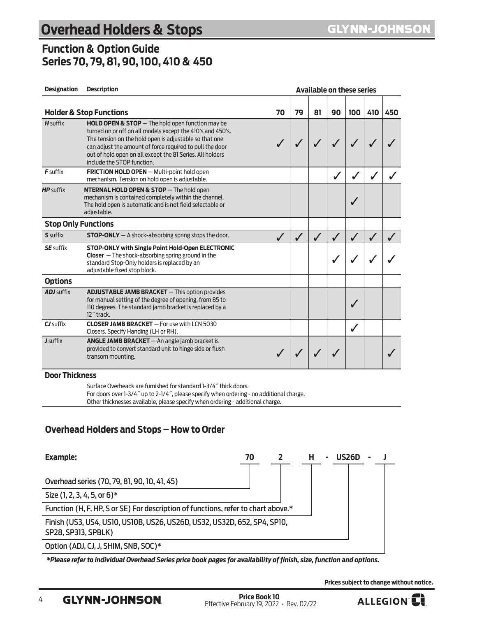### <span id="page-3-0"></span>**Function & Option Guide Series 70, 79, 81, 90, 100, 410 & 450**

| <b>Designation</b>         | <b>Description</b>                                                                                                                                                                                                                                                                                                              | <b>Available on these series</b> |    |    |    |              |     |     |
|----------------------------|---------------------------------------------------------------------------------------------------------------------------------------------------------------------------------------------------------------------------------------------------------------------------------------------------------------------------------|----------------------------------|----|----|----|--------------|-----|-----|
|                            | <b>Holder &amp; Stop Functions</b>                                                                                                                                                                                                                                                                                              | 70                               | 79 | 81 | 90 | 100          | 410 | 450 |
| H suffix                   | HOLD OPEN & STOP - The hold open function may be<br>turned on or off on all models except the 410's and 450's.<br>The tension on the hold open is adjustable so that one<br>can adjust the amount of force required to pull the door<br>out of hold open on all except the 81 Series. All holders<br>include the STOP function. |                                  |    |    |    |              |     |     |
| $F$ suffix                 | FRICTION HOLD OPEN - Multi-point hold open<br>mechanism. Tension on hold open is adjustable.                                                                                                                                                                                                                                    |                                  |    |    |    |              |     |     |
| <b>HP</b> suffix           | NTERNAL HOLD OPEN & STOP - The hold open<br>mechanism is contained completely within the channel.<br>The hold open is automatic and is not field selectable or<br>adiustable.                                                                                                                                                   |                                  |    |    |    |              |     |     |
| <b>Stop Only Functions</b> |                                                                                                                                                                                                                                                                                                                                 |                                  |    |    |    |              |     |     |
| S suffix                   | <b>STOP-ONLY</b> $-$ A shock-absorbing spring stops the door.                                                                                                                                                                                                                                                                   |                                  |    |    |    |              |     |     |
| <b>SE</b> suffix           | <b>STOP-ONLY with Single Point Hold-Open ELECTRONIC</b><br><b>Closer</b> $-$ The shock-absorbing spring ground in the<br>standard Stop-Only holders is replaced by an<br>adjustable fixed stop block.                                                                                                                           |                                  |    |    |    |              |     |     |
| <b>Options</b>             |                                                                                                                                                                                                                                                                                                                                 |                                  |    |    |    |              |     |     |
| <b>ADJ</b> suffix          | <b>ADJUSTABLE JAMB BRACKET</b> - This option provides<br>for manual setting of the degree of opening, from 85 to<br>110 degrees. The standard jamb bracket is replaced by a<br>12" track.                                                                                                                                       |                                  |    |    |    |              |     |     |
| $CJ$ suffix                | <b>CLOSER JAMB BRACKET</b> - For use with LCN 5030<br>Closers. Specify Handing (LH or RH).                                                                                                                                                                                                                                      |                                  |    |    |    | $\checkmark$ |     |     |
| <i>J</i> suffix            | <b>ANGLE JAMB BRACKET</b> $-$ An angle jamb bracket is<br>provided to convert standard unit to hinge side or flush<br>transom mounting.                                                                                                                                                                                         |                                  |    |    |    |              |     |     |

#### **Door Thickness**

Surface Overheads are furnished for standard 1-3/4˝ thick doors. For doors over 1-3/4˝ up to 2-1/4˝, please specify when ordering - no additional charge. Other thicknesses available, please specify when ordering - additional charge.

### **Overhead Holders and Stops – How to Order**



*\*Please refer to individual Overhead Series price book pages for availability of finish, size, function and options.*

 **Prices subject to change without notice.**

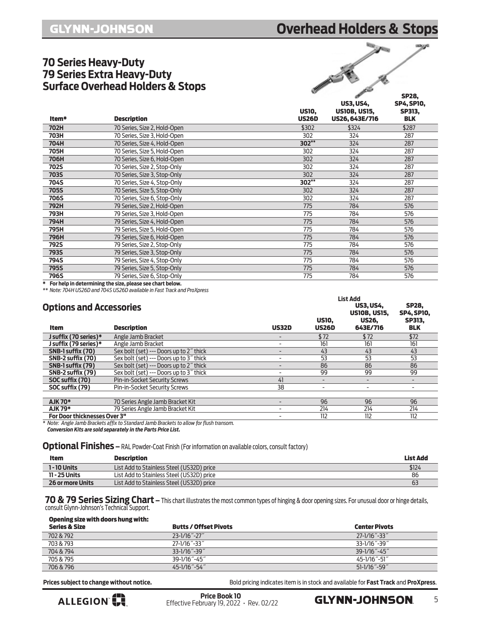## **Overhead Holders & Stops**

### <span id="page-4-0"></span>**70 Series Heavy-Duty 79 Series Extra Heavy-Duty Surface Overhead Holders & Stops**



|             |                              | <b>US10,</b> | <b>US3, US4,</b><br><b>US10B, US15,</b> | <b>SP4, SP10,</b><br><b>SP313,</b> |
|-------------|------------------------------|--------------|-----------------------------------------|------------------------------------|
| Item*       | <b>Description</b>           | <b>US26D</b> | US26, 643E/716                          | <b>BLK</b>                         |
| 702H        | 70 Series, Size 2, Hold-Open | \$302        | \$324                                   | \$287                              |
| 703H        | 70 Series, Size 3, Hold-Open | 302          | 324                                     | 287                                |
| 704H        | 70 Series, Size 4, Hold-Open | $302**$      | 324                                     | 287                                |
| 705H        | 70 Series, Size 5, Hold-Open | 302          | 324                                     | 287                                |
| 706H        | 70 Series, Size 6, Hold-Open | 302          | 324                                     | 287                                |
| <b>702S</b> | 70 Series, Size 2, Stop-Only | 302          | 324                                     | 287                                |
| <b>703S</b> | 70 Series, Size 3, Stop-Only | 302          | 324                                     | 287                                |
| 704S        | 70 Series, Size 4, Stop-Only | $302**$      | 324                                     | 287                                |
| <b>705S</b> | 70 Series, Size 5, Stop-Only | 302          | 324                                     | 287                                |
| 706S        | 70 Series, Size 6, Stop-Only | 302          | 324                                     | 287                                |
| 792H        | 79 Series, Size 2, Hold-Open | 775          | 784                                     | 576                                |
| 793H        | 79 Series, Size 3, Hold-Open | 775          | 784                                     | 576                                |
| 794H        | 79 Series, Size 4, Hold-Open | 775          | 784                                     | 576                                |
| 795H        | 79 Series, Size 5, Hold-Open | 775          | 784                                     | 576                                |
| 796H        | 79 Series, Size 6, Hold-Open | 775          | 784                                     | 576                                |
| 792S        | 79 Series, Size 2, Stop-Only | 775          | 784                                     | 576                                |
| <b>793S</b> | 79 Series, Size 3, Stop-Only | 775          | 784                                     | 576                                |
| 794S        | 79 Series, Size 4, Stop-Only | 775          | 784                                     | 576                                |
| 795S        | 79 Series, Size 5, Stop-Only | 775          | 784                                     | 576                                |
| 796S        | 79 Series, Size 6, Stop-Only | 775          | 784                                     | 576                                |
|             |                              |              |                                         |                                    |

**\* For help in determining the size, please see chart below.**

*\*\* Note: 704H US26D and 704S US26D available in Fast Track and ProXpress*

|                                |                                         |              |              | <b>List Add</b>                                         |                                                    |
|--------------------------------|-----------------------------------------|--------------|--------------|---------------------------------------------------------|----------------------------------------------------|
| <b>Options and Accessories</b> |                                         |              | <b>US10.</b> | <b>US3, US4,</b><br><b>US10B, US15,</b><br><b>US26.</b> | <b>SP28,</b><br><b>SP4, SP10,</b><br><b>SP313,</b> |
| <b>Item</b>                    | <b>Description</b>                      | <b>US32D</b> | <b>US26D</b> | 643E/716                                                | <b>BLK</b>                                         |
| J suffix (70 series)*          | Angle Jamb Bracket                      |              | \$72         | \$72                                                    | \$72                                               |
| J suffix (79 series)*          | Angle Jamb Bracket                      |              | 161          | 161                                                     | 161                                                |
| SNB-1 suffix (70)              | Sex bolt (set) --- Doors up to 2" thick |              | 43           | 43                                                      | 43                                                 |
| SNB-2 suffix (70)              | Sex bolt (set) --- Doors up to 3" thick |              | 53           | 53                                                      | 53                                                 |
| SNB-1 suffix (79)              | Sex bolt (set) --- Doors up to 2" thick |              | 86           | 86                                                      | 86                                                 |
| SNB-2 suffix (79)              | Sex bolt (set) --- Doors up to 3" thick |              | qq           | 99                                                      | 99                                                 |
| SOC suffix (70)                | Pin-in-Socket Security Screws           | 41           | -            | $\overline{\phantom{a}}$                                |                                                    |
| SOC suffix (79)                | Pin-in-Socket Security Screws           | 38           | ٠            | $\overline{\phantom{a}}$                                |                                                    |
|                                |                                         |              |              |                                                         |                                                    |
| <b>AJK70*</b>                  | 70 Series Angle Jamb Bracket Kit        |              | 96           | 96                                                      | 96                                                 |
| AJK 79*                        | 79 Series Angle Jamb Bracket Kit        |              | 214          | 214                                                     | 214                                                |
| For Door thicknesses Over 3"   |                                         |              | 112          | 112                                                     | 112                                                |
|                                |                                         |              |              |                                                         |                                                    |

*\* Note: Angle Jamb Brackets affix to Standard Jamb Brackets to allow for flush transom.*

*Conversion Kits are sold separately in the Parts Price List.*

### **Optional Finishes** – RAL Powder-Coat Finish (For information on available colors, consult factory)

| <b>Item</b>             | <b>Description</b>                        | <b>List Add</b> |
|-------------------------|-------------------------------------------|-----------------|
| 1 - 10 Units            | List Add to Stainless Steel (US32D) price | \$124           |
| 11 - 25 Units           | List Add to Stainless Steel (US32D) price | 86              |
| <b>26 or more Units</b> | List Add to Stainless Steel (US32D) price | 6 <sup>3</sup>  |

#### **70 & 79 Series Sizing Chart –** This chart illustrates the most common types of hinging & door opening sizes. For unusual door or hinge details, consult Glynn-Johnson's Technical Support.

Opening size with doors hung with:

| <b>Series &amp; Size</b> | <b>Butts / Offset Pivots</b> | <b>Center Pivots</b> |
|--------------------------|------------------------------|----------------------|
| 702 & 792                | $23 - 1/16$ " $-27$ "        | 27-1/16"-33"         |
| 703 & 793                | 27-1/16"-33"                 | 33-1/16"-39"         |
| 704 & 794                | 33-1/16"-39"                 | 39-1/16"-45"         |
| 705 & 795                | 39-1/16"-45"                 | 45-1/16"-51"         |
| 706 & 796                | 45-1/16"-54"                 | $51 - 1/16$ "-59"    |

 **Prices subject to change without notice.** Bold pricing indicates item is in stock and available for **Fast Track** and **ProXpress**.



**Price Book 10**  Effective February 19, 2022 • Rev. 02/22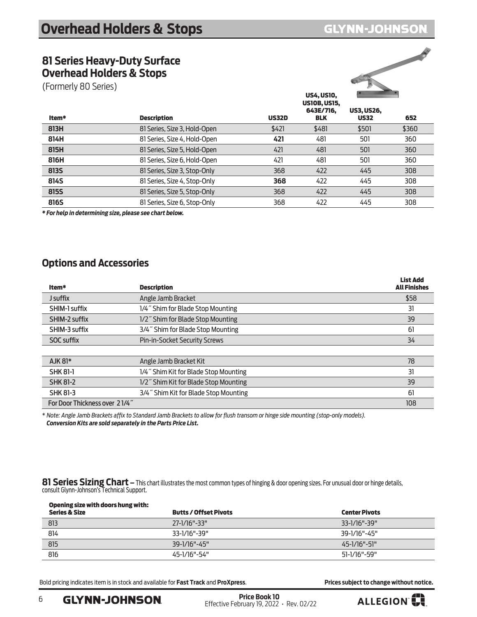<span id="page-5-0"></span>(Formerly 80 Series)

US4, US10,



| Item*       | <b>Description</b>           | <b>US32D</b> | U54, USIU,<br><b>US10B, US15,</b><br>643E/716.<br><b>BLK</b> | <b>US3, US26,</b><br><b>US32</b> | 652   |
|-------------|------------------------------|--------------|--------------------------------------------------------------|----------------------------------|-------|
| 813H        | 81 Series, Size 3, Hold-Open | \$421        | \$481                                                        | \$501                            | \$360 |
| 814H        | 81 Series, Size 4, Hold-Open | 421          | 481                                                          | 501                              | 360   |
| 815H        | 81 Series, Size 5, Hold-Open | 421          | 481                                                          | 501                              | 360   |
| 816H        | 81 Series, Size 6, Hold-Open | 421          | 481                                                          | 501                              | 360   |
| <b>813S</b> | 81 Series, Size 3, Stop-Only | 368          | 422                                                          | 445                              | 308   |
| <b>814S</b> | 81 Series, Size 4, Stop-Only | 368          | 422                                                          | 445                              | 308   |
| <b>815S</b> | 81 Series, Size 5, Stop-Only | 368          | 422                                                          | 445                              | 308   |
| 816S        | 81 Series, Size 6, Stop-Only | 368          | 422                                                          | 445                              | 308   |
|             |                              |              |                                                              |                                  |       |

*\* For help in determining size, please see chart below.*

### **Options and Accessories**

| Item*                                              | <b>Description</b>                    | <b>List Add</b><br><b>All Finishes</b> |
|----------------------------------------------------|---------------------------------------|----------------------------------------|
| J suffix                                           | Angle Jamb Bracket                    | \$58                                   |
| SHIM-1 suffix                                      | 1/4" Shim for Blade Stop Mounting     | 31                                     |
| SHIM-2 suffix                                      | 1/2" Shim for Blade Stop Mounting     | 39                                     |
| SHIM-3 suffix                                      | 3/4" Shim for Blade Stop Mounting     | 61                                     |
| <b>SOC suffix</b><br>Pin-in-Socket Security Screws |                                       | 34                                     |
|                                                    |                                       |                                        |
| <b>AJK 81*</b>                                     | Angle Jamb Bracket Kit                | 78                                     |
| <b>SHK 81-1</b>                                    | 1/4" Shim Kit for Blade Stop Mounting | 31                                     |
| <b>SHK 81-2</b>                                    | 1/2" Shim Kit for Blade Stop Mounting | 39                                     |
| <b>SHK 81-3</b>                                    | 3/4" Shim Kit for Blade Stop Mounting | 61                                     |
| For Door Thickness over 21/4"                      |                                       | 108                                    |
|                                                    |                                       |                                        |

*\* Note: Angle Jamb Brackets affix to Standard Jamb Brackets to allow for flush transom or hinge side mounting (stop-only models). Conversion Kits are sold separately in the Parts Price List.*

**81 Series Sizing Chart –** This chart illustrates the most common types of hinging & door opening sizes. For unusual door or hinge details, consult Glynn-Johnson's Technical Support.

| Opening size with doors hung with:<br><b>Series &amp; Size</b> | <b>Butts / Offset Pivots</b> | <b>Center Pivots</b> |
|----------------------------------------------------------------|------------------------------|----------------------|
| 813                                                            | $77 - 1/16" - 33"$           | $33 - 1/16" - 39"$   |
| 814                                                            | 33-1/16"-39"                 | $39 - 1/16" - 45"$   |
| 815                                                            | $39 - 1/16" - 45"$           | $45 - 1/16" - 51"$   |
| 816                                                            | 45-1/16"-54"                 | 51-1/16"-59"         |
|                                                                |                              |                      |

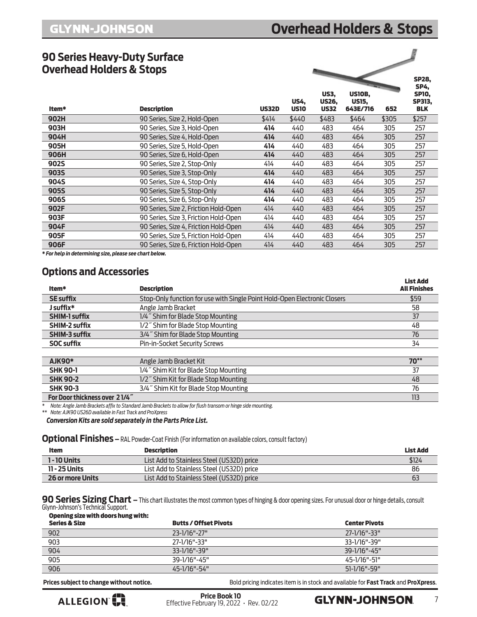## <span id="page-6-0"></span> **Overhead Holders & Stops**

## **90 Series Heavy-Duty Surface Overhead Holders & Stops**

| <b>Overhead Holders &amp; Stops</b> |                                       |              |             |                             |                               |       |                               |
|-------------------------------------|---------------------------------------|--------------|-------------|-----------------------------|-------------------------------|-------|-------------------------------|
|                                     |                                       |              |             |                             |                               |       | <b>SP28.</b><br><b>SP4,</b>   |
|                                     |                                       |              | <b>US4,</b> | <b>US3,</b><br><b>US26.</b> | <b>US10B.</b><br><b>US15,</b> |       | <b>SP10,</b><br><b>SP313,</b> |
| Item*                               | <b>Description</b>                    | <b>US32D</b> | <b>US10</b> | <b>US32</b>                 | 643E/716                      | 652   | <b>BLK</b>                    |
| 902H                                | 90 Series, Size 2, Hold-Open          | \$414        | \$440       | \$483                       | \$464                         | \$305 | \$257                         |
| 903H                                | 90 Series, Size 3, Hold-Open          | 414          | 440         | 483                         | 464                           | 305   | 257                           |
| 904H                                | 90 Series, Size 4, Hold-Open          | 414          | 440         | 483                         | 464                           | 305   | 257                           |
| 905H                                | 90 Series, Size 5, Hold-Open          | 414          | 440         | 483                         | 464                           | 305   | 257                           |
| 906H                                | 90 Series, Size 6, Hold-Open          | 414          | 440         | 483                         | 464                           | 305   | 257                           |
| <b>902S</b>                         | 90 Series, Size 2, Stop-Only          | 414          | 440         | 483                         | 464                           | 305   | 257                           |
| <b>903S</b>                         | 90 Series, Size 3, Stop-Only          | 414          | 440         | 483                         | 464                           | 305   | 257                           |
| <b>904S</b>                         | 90 Series, Size 4, Stop-Only          | 414          | 440         | 483                         | 464                           | 305   | 257                           |
| <b>905S</b>                         | 90 Series, Size 5, Stop-Only          | 414          | 440         | 483                         | 464                           | 305   | 257                           |
| 906S                                | 90 Series, Size 6, Stop-Only          | 414          | 440         | 483                         | 464                           | 305   | 257                           |
| 902F                                | 90 Series, Size 2, Friction Hold-Open | 414          | 440         | 483                         | 464                           | 305   | 257                           |
| 903F                                | 90 Series, Size 3, Friction Hold-Open | 414          | 440         | 483                         | 464                           | 305   | 257                           |
| 904F                                | 90 Series, Size 4, Friction Hold-Open | 414          | 440         | 483                         | 464                           | 305   | 257                           |
| 905F                                | 90 Series, Size 5, Friction Hold-Open | 414          | 440         | 483                         | 464                           | 305   | 257                           |
| 906F                                | 90 Series, Size 6, Friction Hold-Open | 414          | 440         | 483                         | 464                           | 305   | 257                           |
|                                     |                                       |              |             |                             |                               |       |                               |

*\* For help in determining size, please see chart below.*

### **Options and Accessories**

| Item*                         | <b>Description</b>                                                        | List Add<br><b>All Finishes</b> |
|-------------------------------|---------------------------------------------------------------------------|---------------------------------|
| <b>SE suffix</b>              | Stop-Only function for use with Single Point Hold-Open Electronic Closers | \$59                            |
| J suffix*                     | Angle Jamb Bracket                                                        | 58                              |
| <b>SHIM-1 suffix</b>          | 1/4" Shim for Blade Stop Mounting                                         | 37                              |
| <b>SHIM-2 suffix</b>          | 1/2" Shim for Blade Stop Mounting                                         | 48                              |
| SHIM-3 suffix                 | 3/4" Shim for Blade Stop Mounting                                         | 76                              |
| <b>SOC suffix</b>             | Pin-in-Socket Security Screws                                             | 34                              |
|                               |                                                                           |                                 |
| <b>AJK90*</b>                 | Angle Jamb Bracket Kit                                                    | $70**$                          |
| <b>SHK 90-1</b>               | 1/4" Shim Kit for Blade Stop Mounting                                     | 37                              |
| <b>SHK 90-2</b>               | 1/2" Shim Kit for Blade Stop Mounting                                     | 48                              |
| <b>SHK 90-3</b>               | 3/4" Shim Kit for Blade Stop Mounting                                     | 76                              |
| For Door thickness over 21/4" |                                                                           | 113                             |

*\* Note: Angle Jamb Brackets affix to Standard Jamb Brackets to allow for flush transom or hinge side mounting.*

*\*\* Note: AJK90 US26D available in Fast Track and ProXpress*

*Conversion Kits are sold separately in the Parts Price List.*

### **Optional Finishes** – RAL Powder-Coat Finish (For information on available colors, consult factory)

| <b>Item</b>             | <b>Description</b>                        | <b>List Add</b> |
|-------------------------|-------------------------------------------|-----------------|
| 1 - 10 Units            | List Add to Stainless Steel (US32D) price | \$124           |
| 11 - 25 Units           | List Add to Stainless Steel (US32D) price | 86              |
| <b>26 or more Units</b> | List Add to Stainless Steel (US32D) price | 6 <sup>5</sup>  |

#### **90 Series Sizing Chart –** This chart illustrates the most common types of hinging & door opening sizes. For unusual door or hinge details, consult Glynn-Johnson's Technical Support.

| Opening size with doors hung with: |                              |                      |
|------------------------------------|------------------------------|----------------------|
| <b>Series &amp; Size</b>           | <b>Butts / Offset Pivots</b> | <b>Center Pivots</b> |
| 902                                | 23-1/16"-27"                 | 27-1/16"-33"         |
| 903                                | 27-1/16"-33"                 | 33-1/16"-39"         |
| 904                                | $33$ -1/16"-39"              | $39 - 1/16" - 45"$   |
| 905                                | 39-1/16"-45"                 | 45-1/16"-51"         |
| 906                                | $45 - 1/16" - 54"$           | 51-1/16"-59"         |
|                                    |                              |                      |

 **Prices subject to change without notice.** Bold pricing indicates item is in stock and available for **Fast Track** and **ProXpress**.



**Price Book 10**  Effective February 19, 2022 • Rev. 02/22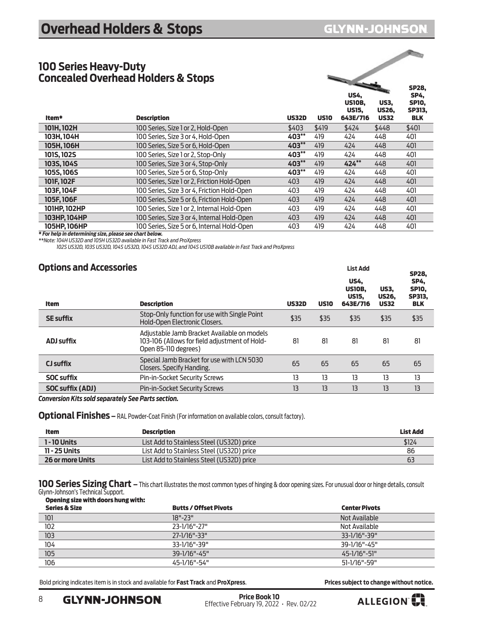### <span id="page-7-0"></span>**100 Series Heavy-Duty Concealed Overhead Holders & Stops**

| Item*             | <b>Description</b>                          | <b>US32D</b> | <b>US10</b> | <b>US4.</b><br><b>US10B.</b><br><b>US15,</b><br>643E/716 | <b>US3.</b><br><b>US26.</b><br><b>US32</b> | <b>SP28,</b><br><b>SP4.</b><br><b>SP10,</b><br><b>SP313,</b><br><b>BLK</b> |
|-------------------|---------------------------------------------|--------------|-------------|----------------------------------------------------------|--------------------------------------------|----------------------------------------------------------------------------|
| 101H.102H         | 100 Series. Size 1 or 2. Hold-Open          | \$403        | \$419       | \$424                                                    | \$448                                      | \$401                                                                      |
| 103H.104H         | 100 Series, Size 3 or 4, Hold-Open          | 403**        | 419         | 424                                                      | 448                                        | 401                                                                        |
| 105H.106H         | 100 Series, Size 5 or 6, Hold-Open          | $403***$     | 419         | 424                                                      | 448                                        | 401                                                                        |
| <b>1015, 1025</b> | 100 Series, Size 1 or 2, Stop-Only          | 403**        | 419         | 424                                                      | 448                                        | 401                                                                        |
| 103S.104S         | 100 Series. Size 3 or 4. Stop-Only          | 403**        | 419         | 424**                                                    | 448                                        | 401                                                                        |
| <b>105S.106S</b>  | 100 Series. Size 5 or 6. Stop-Only          | 403**        | 419         | 424                                                      | 448                                        | 401                                                                        |
| 101F, 102F        | 100 Series, Size 1 or 2, Friction Hold-Open | 403          | 419         | 424                                                      | 448                                        | 401                                                                        |
| 103F.104F         | 100 Series, Size 3 or 4, Friction Hold-Open | 403          | 419         | 424                                                      | 448                                        | 401                                                                        |
| 105F.106F         | 100 Series, Size 5 or 6, Friction Hold-Open | 403          | 419         | 424                                                      | 448                                        | 401                                                                        |
| 101HP. 102HP      | 100 Series, Size 1 or 2. Internal Hold-Open | 403          | 419         | 424                                                      | 448                                        | 401                                                                        |
| 103HP. 104HP      | 100 Series, Size 3 or 4, Internal Hold-Open | 403          | 419         | 424                                                      | 448                                        | 401                                                                        |
| 105HP. 106HP      | 100 Series, Size 5 or 6, Internal Hold-Open | 403          | 419         | 424                                                      | 448                                        | 401                                                                        |

*\* For help in determining size, please see chart below.* 

*\*\*Note: 104H US32D and 105H US32D available in Fast Track and ProXpress* 

*102S US32D, 103S US32D, 104S US32D, 104S US32D ADJ, and 104S US10B available in Fast Track and ProXpress*

### **Options and Accessories List Add**

| Item                    | <b>Description</b>                                                                                                   | <b>US32D</b> | <b>US10</b> | <b>US4.</b><br><b>US10B.</b><br><b>US15.</b><br>643E/716 | <b>US3.</b><br><b>US26.</b><br><b>US32</b> | <b>SP28.</b><br><b>SP4.</b><br><b>SP10.</b><br><b>SP313.</b><br><b>BLK</b> |
|-------------------------|----------------------------------------------------------------------------------------------------------------------|--------------|-------------|----------------------------------------------------------|--------------------------------------------|----------------------------------------------------------------------------|
| <b>SE suffix</b>        | Stop-Only function for use with Single Point<br>Hold-Open Electronic Closers.                                        | \$35         | \$35        | \$35                                                     | \$35                                       | \$35                                                                       |
| <b>ADJ suffix</b>       | Adjustable Jamb Bracket Available on models<br>103-106 (Allows for field adjustment of Hold-<br>Open 85-110 degrees) | 81           | 81          | 81                                                       | 81                                         | 81                                                                         |
| CJ suffix               | Special Jamb Bracket for use with LCN 5030<br>Closers. Specify Handing.                                              | 65           | 65          | 65                                                       | 65                                         | 65                                                                         |
| <b>SOC suffix</b>       | <b>Pin-in-Socket Security Screws</b>                                                                                 | 13           | 13          | 13                                                       | 13                                         | 13                                                                         |
| <b>SOC suffix (ADJ)</b> | <b>Pin-in-Socket Security Screws</b>                                                                                 | 13           | 13          | 13                                                       | 13                                         | 13                                                                         |

*Conversion Kits sold separately See Parts section.*

### **Optional Finishes** – RAL Powder-Coat Finish (For information on available colors, consult factory).

| Item                    | <b>Description</b>                        | <b>List Add</b> |
|-------------------------|-------------------------------------------|-----------------|
| 1 - 10 Units            | List Add to Stainless Steel (US32D) price | \$124           |
| 11 - 25 Units           | List Add to Stainless Steel (US32D) price | 86              |
| <b>26 or more Units</b> | List Add to Stainless Steel (US32D) price | 63              |

**100 Series Sizing Chart –** This chart illustrates the most common types of hinging & door opening sizes. For unusual door or hinge details, consult Glynn-Johnson's Technical Support. Opening size with doors hung with:

| Opening size with doors nong with: |                              |                      |
|------------------------------------|------------------------------|----------------------|
| <b>Series &amp; Size</b>           | <b>Butts / Offset Pivots</b> | <b>Center Pivots</b> |
| 101                                | $18" - 23"$                  | Not Available        |
| 102                                | 23-1/16"-27"                 | Not Available        |
| 103                                | $27 - 1/16" - 33"$           | $33 - 1/16" - 39"$   |
| 104                                | 33-1/16"-39"                 | $39 - 1/16" - 45"$   |
| 105                                | $39 - 1/16" - 45"$           | $45 - 1/16" - 51"$   |
| 106                                | 45-1/16"-54"                 | $51-1/16" - 59"$     |
|                                    |                              |                      |

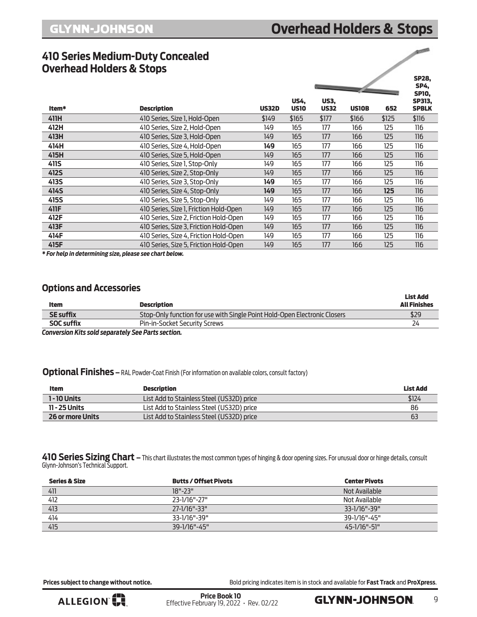$\overline{\phantom{a}}$ 

### <span id="page-8-0"></span>**410 Series Medium-Duty Concealed Overhead Holders & Stops**

|       |                                        |              |                            |                     |              |       | <b>SP28,</b><br><b>SP4,</b><br><b>SP10,</b> |
|-------|----------------------------------------|--------------|----------------------------|---------------------|--------------|-------|---------------------------------------------|
| Item* | <b>Description</b>                     | <b>US32D</b> | <b>US4.</b><br><b>US10</b> | US3,<br><b>US32</b> | <b>US10B</b> | 652   | <b>SP313,</b><br><b>SPBLK</b>               |
| 411H  | 410 Series, Size 1, Hold-Open          | \$149        | \$165                      | \$177               | \$166        | \$125 | \$116                                       |
| 412H  | 410 Series, Size 2, Hold-Open          | 149          | 165                        | 177                 | 166          | 125   | 116                                         |
| 413H  | 410 Series, Size 3, Hold-Open          | 149          | 165                        | 177                 | 166          | 125   | 116                                         |
| 414H  | 410 Series, Size 4, Hold-Open          | 149          | 165                        | 177                 | 166          | 125   | 116                                         |
| 415H  | 410 Series, Size 5, Hold-Open          | 149          | 165                        | 177                 | 166          | 125   | 116                                         |
| 411S  | 410 Series, Size 1, Stop-Only          | 149          | 165                        | 177                 | 166          | 125   | 116                                         |
| 412S  | 410 Series, Size 2, Stop-Only          | 149          | 165                        | 177                 | 166          | 125   | 116                                         |
| 413S  | 410 Series, Size 3, Stop-Only          | 149          | 165                        | 177                 | 166          | 125   | 116                                         |
| 414S  | 410 Series, Size 4, Stop-Only          | 149          | 165                        | 177                 | 166          | 125   | 116                                         |
| 415S  | 410 Series, Size 5, Stop-Only          | 149          | 165                        | 177                 | 166          | 125   | 116                                         |
| 411F  | 410 Series, Size 1, Friction Hold-Open | 149          | 165                        | 177                 | 166          | 125   | 116                                         |
| 412F  | 410 Series, Size 2, Friction Hold-Open | 149          | 165                        | 177                 | 166          | 125   | 116                                         |
| 413F  | 410 Series, Size 3, Friction Hold-Open | 149          | 165                        | 177                 | 166          | 125   | 116                                         |
| 414F  | 410 Series, Size 4, Friction Hold-Open | 149          | 165                        | 177                 | 166          | 125   | 116                                         |
| 415F  | 410 Series, Size 5, Friction Hold-Open | 149          | 165                        | 177                 | 166          | 125   | 116                                         |
|       |                                        |              |                            |                     |              |       |                                             |

*\* For help in determining size, please see chart below.*

### **Options and Accessories**

| <b>Item</b>       | Description                                                               | <b>List Add</b><br><b>All Finishes</b> |
|-------------------|---------------------------------------------------------------------------|----------------------------------------|
| <b>SE suffix</b>  | Stop-Only function for use with Single Point Hold-Open Electronic Closers | \$29                                   |
| <b>SOC suffix</b> | Pin-in-Socket Security Screws                                             |                                        |
|                   | .                                                                         |                                        |

*Conversion Kits sold separately See Parts section.*

### **Optional Finishes** – RAL Powder-Coat Finish (For information on available colors, consult factory)

| <b>Item</b>             | <b>Description</b>                        | <b>List Add</b> |
|-------------------------|-------------------------------------------|-----------------|
| $1 - 10$ Units          | List Add to Stainless Steel (US32D) price | \$124           |
| 11 - 25 Units           | List Add to Stainless Steel (US32D) price | 86              |
| <b>26 or more Units</b> | List Add to Stainless Steel (US32D) price | 63              |

410 Series Sizing Chart – This chart illustrates the most common types of hinging & door opening sizes. For unusual door or hinge details, consult Glynn-Johnson's Technical Support.

| Series & Size | <b>Butts / Offset Pivots</b> | <b>Center Pivots</b> |
|---------------|------------------------------|----------------------|
| 411           | $18" - 23"$                  | Not Available        |
| 412           | 23-1/16"-27"                 | Not Available        |
| 413           | $77 - 1/16" - 33"$           | $33 - 1/16" - 39"$   |
| 414           | 33-1/16"-39"                 | $39 - 1/16" - 45"$   |
| 415           | $39 - 1/16" - 45"$           | $45 - 1/16" - 51"$   |

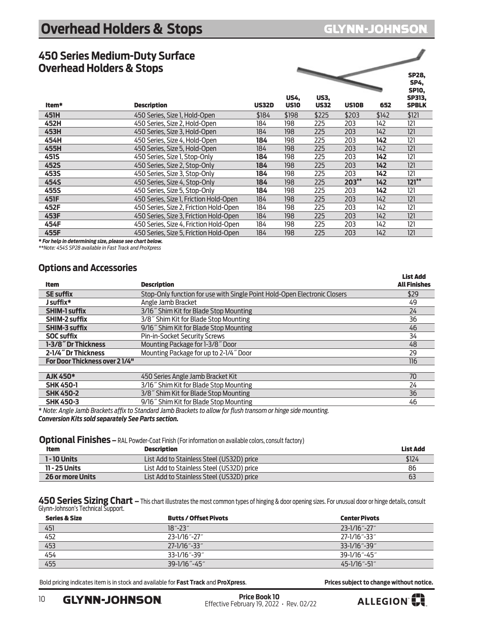## <span id="page-9-0"></span> **Overhead Holders & Stops**

## **450 Series Medium-Duty Surface Overhead Holders & Stops**

| Item* | <b>Description</b>                     | <b>US32D</b> | <b>US4,</b><br><b>US10</b> | <b>US3,</b><br><b>US32</b> | <b>US10B</b> | 652   | <b>SP28,</b><br><b>SP4.</b><br><b>SP10,</b><br><b>SP313,</b><br><b>SPBLK</b> |
|-------|----------------------------------------|--------------|----------------------------|----------------------------|--------------|-------|------------------------------------------------------------------------------|
| 451H  | 450 Series, Size 1, Hold-Open          | \$184        | \$198                      | \$225                      | \$203        | \$142 | \$121                                                                        |
| 452H  | 450 Series, Size 2, Hold-Open          | 184          | 198                        | 225                        | 203          | 142   | 121                                                                          |
| 453H  | 450 Series, Size 3, Hold-Open          | 184          | 198                        | 225                        | 203          | 142   | 121                                                                          |
| 454H  | 450 Series, Size 4, Hold-Open          | 184          | 198                        | 225                        | 203          | 142   | 121                                                                          |
| 455H  | 450 Series, Size 5, Hold-Open          | 184          | 198                        | 225                        | 203          | 142   | 121                                                                          |
| 451S  | 450 Series, Size 1, Stop-Only          | 184          | 198                        | 225                        | 203          | 142   | 121                                                                          |
| 452S  | 450 Series, Size 2, Stop-Only          | 184          | 198                        | 225                        | 203          | 142   | 121                                                                          |
| 453S  | 450 Series, Size 3, Stop-Only          | 184          | 198                        | 225                        | 203          | 142   | 121                                                                          |
| 454S  | 450 Series, Size 4, Stop-Only          | 184          | 198                        | 225                        | $203**$      | 142   | $121***$                                                                     |
| 455S  | 450 Series, Size 5, Stop-Only          | 184          | 198                        | 225                        | 203          | 142   | 121                                                                          |
| 451F  | 450 Series, Size 1. Friction Hold-Open | 184          | 198                        | 225                        | 203          | 142   | 121                                                                          |
| 452F  | 450 Series, Size 2, Friction Hold-Open | 184          | 198                        | 225                        | 203          | 142   | 121                                                                          |
| 453F  | 450 Series, Size 3, Friction Hold-Open | 184          | 198                        | 225                        | 203          | 142   | 121                                                                          |
| 454F  | 450 Series, Size 4, Friction Hold-Open | 184          | 198                        | 225                        | 203          | 142   | 121                                                                          |
| 455F  | 450 Series, Size 5, Friction Hold-Open | 184          | 198                        | 225                        | 203          | 142   | 121                                                                          |

*\* For help in determining size, please see chart below.* 

*\*\*Note: 454S SP28 available in Fast Track and ProXpress*

### **Options and Accessories**

| <b>Item</b>                   | <b>Description</b>                                                                                                      | <b>List Add</b><br><b>All Finishes</b> |
|-------------------------------|-------------------------------------------------------------------------------------------------------------------------|----------------------------------------|
| <b>SE suffix</b>              | Stop-Only function for use with Single Point Hold-Open Electronic Closers                                               | \$29                                   |
| J suffix*                     | Angle Jamb Bracket                                                                                                      | 49                                     |
| <b>SHIM-1 suffix</b>          | 3/16" Shim Kit for Blade Stop Mounting                                                                                  | 24                                     |
| <b>SHIM-2 suffix</b>          | 3/8" Shim Kit for Blade Stop Mounting                                                                                   | 36                                     |
| <b>SHIM-3 suffix</b>          | 9/16" Shim Kit for Blade Stop Mounting                                                                                  | 46                                     |
| <b>SOC suffix</b>             | Pin-in-Socket Security Screws                                                                                           | 34                                     |
| 1-3/8" Dr Thickness           | Mounting Package for 1-3/8" Door                                                                                        | 48                                     |
| 2-1/4" Dr Thickness           | Mounting Package for up to 2-1/4" Door                                                                                  | 29                                     |
| For Door Thickness over 21/4" |                                                                                                                         | 116                                    |
|                               |                                                                                                                         |                                        |
| <b>AJK 450*</b>               | 450 Series Angle Jamb Bracket Kit                                                                                       | 70                                     |
| <b>SHK 450-1</b>              | 3/16" Shim Kit for Blade Stop Mounting                                                                                  | 24                                     |
| <b>SHK 450-2</b>              | 3/8" Shim Kit for Blade Stop Mounting                                                                                   | 36                                     |
| <b>SHK 450-3</b>              | 9/16" Shim Kit for Blade Stop Mounting                                                                                  | 46                                     |
|                               | & Notes Arealy to sele December 2002 to Charactered to select December 11 and 2003 Cardian services and the second to a |                                        |

*\* Note: Angle Jamb Brackets affix to Standard Jamb Brackets to allow for flush transom or hinge side mounting.*

*Conversion Kits sold separately See Parts section.*

### **Optional Finishes** – RAL Powder-Coat Finish (For information on available colors, consult factory)

| <b>Item</b>             | Description                               | <b>List Add</b> |
|-------------------------|-------------------------------------------|-----------------|
| 1 - 10 Units            | List Add to Stainless Steel (US32D) price | \$124           |
| 11 - 25 Units           | List Add to Stainless Steel (US32D) price | 86              |
| <b>26 or more Units</b> | List Add to Stainless Steel (US32D) price | 63              |

**450 Series Sizing Chart –** This chart illustrates the most common types of hinging & door opening sizes. For unusual door or hinge details, consult Glynn-Johnson's Technical Support.

| <b>Series &amp; Size</b> | <b>Butts / Offset Pivots</b> | <b>Center Pivots</b>     |
|--------------------------|------------------------------|--------------------------|
| 451                      | $18^{\circ} - 23^{\circ}$    | $23 - 1/16$ " $-27$ "    |
|                          | $23 - 1/16$ "-27"            | - 27-1/16 - 33 $\degree$ |
| $\frac{452}{453}$        | $77 - 1/16$ " $-33$ "        | $33 - 1/16$ "-39"        |
| $\frac{454}{455}$        | $33 - 1/16$ "-39"            | $39 - 1/16$ "-45"        |
|                          | $39 - 1/16$ "-45"            | $45 - 1/16$ " $-51$ "    |

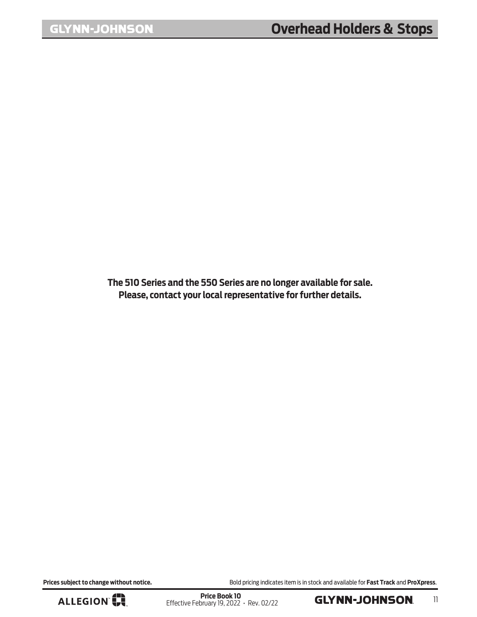<span id="page-10-0"></span>**The 510 Series and the 550 Series are no longer available for sale. Please, contact your local representative for further details.**

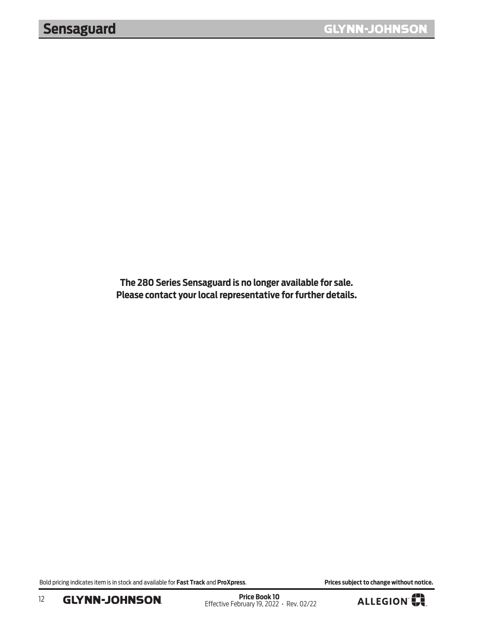<span id="page-11-0"></span>**The 280 Series Sensaguard is no longer available for sale. Please contact your local representative for further details.**

Bold pricing indicates item is in stock and available for **Fast Track** and **ProXpress**. **Prices subject to change without notice.** 

**Price Book 10**  Effective February 19, 2022 • Rev. 02/22

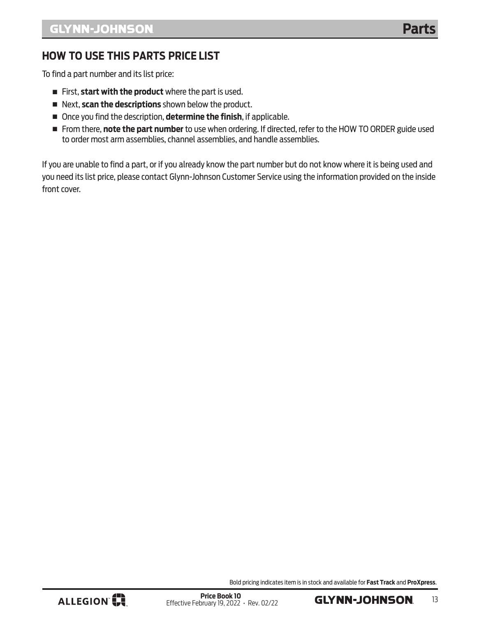## <span id="page-12-0"></span>**HOW TO USE THIS PARTS PRICE LIST**

To find a part number and its list price:

- **n** First, start with the product where the part is used.
- **n** Next, scan the descriptions shown below the product.
- **n** Once you find the description, **determine the finish**, if applicable.
- n From there, **note the part number** to use when ordering. If directed, refer to the HOW TO ORDER guide used to order most arm assemblies, channel assemblies, and handle assemblies.

If you are unable to find a part, or if you already know the part number but do not know where it is being used and you need its list price, please contact Glynn-Johnson Customer Service using the information provided on the inside front cover.

Bold pricing indicates item is in stock and available for **Fast Track** and **ProXpress**.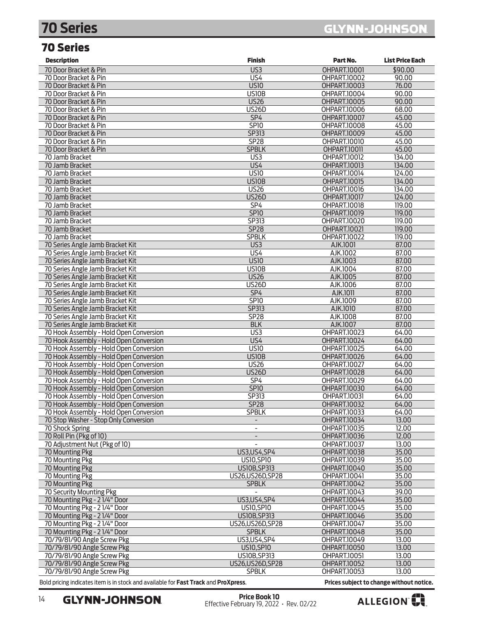## **70 Series**

## GLYNN-JOHNSON

### 70 Series

| <b>Description</b>                                                   | <b>Finish</b>            | Part No.             | <b>List Price Each</b> |
|----------------------------------------------------------------------|--------------------------|----------------------|------------------------|
| 70 Door Bracket & Pin                                                | $\overline{US3}$         | <b>OHPART.10001</b>  | \$90.00                |
| 70 Door Bracket & Pin                                                | US <sub>4</sub>          | OHPART.10002         | 90.00                  |
| 70 Door Bracket & Pin                                                | <b>US10</b>              | <b>OHPART.10003</b>  | 76.00                  |
| 70 Door Bracket & Pin                                                | <b>US10B</b>             | OHPART.10004         | 90.00                  |
| 70 Door Bracket & Pin                                                | <b>US26</b>              | <b>OHPART.10005</b>  | 90.00                  |
| 70 Door Bracket & Pin                                                | <b>US26D</b>             | OHPART.10006         | 68.00                  |
| 70 Door Bracket & Pin                                                | SP4                      | <b>OHPART.10007</b>  | 45.00                  |
| 70 Door Bracket & Pin                                                | SP <sub>10</sub>         | OHPART.10008         | 45.00                  |
| 70 Door Bracket & Pin                                                | <b>SP313</b>             | <b>OHPART.10009</b>  | 45.00                  |
| 70 Door Bracket & Pin                                                | <b>SP28</b>              | <b>OHPART.10010</b>  | 45.00                  |
| 70 Door Bracket & Pin                                                | <b>SPBLK</b>             | <b>OHPART.10011</b>  | 45.00                  |
| 70 Jamb Bracket                                                      | US3                      | OHPART.10012         | 134.00                 |
| 70 Jamb Bracket                                                      | US4                      | <b>OHPART.10013</b>  | 134.00                 |
| 70 Jamb Bracket                                                      | <b>US10</b>              | OHPART.10014         | 124.00                 |
| 70 Jamb Bracket                                                      | <b>US10B</b>             | <b>OHPART.10015</b>  | 134.00                 |
| 70 Jamb Bracket                                                      | <b>US26</b>              | OHPART.10016         | 134.00                 |
| 70 Jamb Bracket                                                      | <b>US26D</b>             | <b>OHPART.10017</b>  | 124.00                 |
| 70 Jamb Bracket                                                      | SP4                      | OHPART.10018         | 119.00                 |
| 70 Jamb Bracket                                                      | <b>SP10</b>              | OHPART.10019         | 119.00                 |
| 70 Jamb Bracket                                                      | SP313                    | <b>OHPART.10020</b>  | 119.00                 |
| 70 Jamb Bracket                                                      | <b>SP28</b>              | <b>OHPART.10021</b>  | 119.00                 |
| 70 Jamb Bracket                                                      | <b>SPBLK</b>             | OHPART.10022         | 119.00                 |
| 70 Series Angle Jamb Bracket Kit                                     | US3                      | AJK.1001             | 87.00                  |
| 70 Series Angle Jamb Bracket Kit                                     | US4                      | AJK.1002             | 87.00                  |
| 70 Series Angle Jamb Bracket Kit                                     | <b>US10</b>              | AJK.1003             | 87.00                  |
| 70 Series Angle Jamb Bracket Kit                                     | US10B                    | AJK.1004             | 87.00                  |
| 70 Series Angle Jamb Bracket Kit                                     | <b>US26</b>              | AJK.1005             | 87.00                  |
| 70 Series Angle Jamb Bracket Kit                                     | <b>US26D</b><br>SP4      | AJK.1006<br>AJK.1011 | 87.00<br>87.00         |
| 70 Series Angle Jamb Bracket Kit<br>70 Series Angle Jamb Bracket Kit | SP10                     | AJK.1009             | 87.00                  |
| 70 Series Angle Jamb Bracket Kit                                     | <b>SP313</b>             | AJK.1010             | 87.00                  |
| 70 Series Angle Jamb Bracket Kit                                     | <b>SP28</b>              | AJK.1008             | 87.00                  |
| 70 Series Angle Jamb Bracket Kit                                     | <b>BLK</b>               | AJK.1007             | 87.00                  |
| 70 Hook Assembly - Hold Open Conversion                              | US3                      | OHPART.10023         | 64.00                  |
| 70 Hook Assembly - Hold Open Conversion                              | US4                      | <b>OHPART.10024</b>  | 64.00                  |
| 70 Hook Assembly - Hold Open Conversion                              | <b>US10</b>              | OHPART.10025         | 64.00                  |
| 70 Hook Assembly - Hold Open Conversion                              | <b>US10B</b>             | OHPART.10026         | 64.00                  |
| 70 Hook Assembly - Hold Open Conversion                              | <b>US26</b>              | OHPART.10027         | 64.00                  |
| 70 Hook Assembly - Hold Open Conversion                              | <b>US26D</b>             | <b>OHPART.10028</b>  | 64.00                  |
| 70 Hook Assembly - Hold Open Conversion                              | SP4                      | OHPART.10029         | 64.00                  |
| 70 Hook Assembly - Hold Open Conversion                              | <b>SP10</b>              | OHPART.10030         | 64.00                  |
| 70 Hook Assembly - Hold Open Conversion                              | SP313                    | OHPART.10031         | 64.00                  |
| 70 Hook Assembly - Hold Open Conversion                              | SP <sub>28</sub>         | OHPART.10032         | 64.00                  |
| 70 Hook Assembly - Hold Open Conversion                              | <b>SPBLK</b>             | OHPART.10033         | 64.00                  |
| 70 Stop Washer - Stop Only Conversion                                |                          | OHPART.10034         | 13.00                  |
| 70 Shock Spring                                                      | $\overline{\phantom{a}}$ | OHPART.10035         | 12.00                  |
| 70 Roll Pin (Pkg of 10)                                              |                          | <b>OHPART.10036</b>  | 12.00                  |
| 70 Adjustment Nut (Pkg of 10)                                        |                          | OHPART.10037         | 13.00                  |
| 70 Mounting Pkg                                                      | <b>US3, US4, SP4</b>     | <b>OHPART.10038</b>  | 35.00                  |
| 70 Mounting Pkg                                                      | <b>US10, SP10</b>        | OHPART.10039         | 35.00                  |
| 70 Mounting Pkg                                                      | <b>US10B, SP313</b>      | OHPART.10040         | 35.00                  |
| 70 Mounting Pkg                                                      | US26, US26D, SP28        | OHPART.10041         | 35.00                  |
| 70 Mounting Pkg                                                      | <b>SPBLK</b>             | <b>OHPART.10042</b>  | 35.00                  |
| 70 Security Mounting Pkg                                             |                          | OHPART.10043         | 39.00                  |
| 70 Mounting Pkg - 21/4" Door                                         | <b>US3, US4, SP4</b>     | OHPART.10044         | 35.00                  |
| 70 Mounting Pkg - 2 1/4" Door                                        | <b>US10, SP10</b>        | OHPART.10045         | 35.00                  |
| 70 Mounting Pkg - 21/4" Door                                         | <b>US10B, SP313</b>      | OHPART.10046         | 35.00                  |
| 70 Mounting Pkg - 21/4" Door                                         | US26, US26D, SP28        | OHPART.10047         | 35.00                  |
| 70 Mounting Pkg - 21/4" Door                                         | <b>SPBLK</b>             | OHPART.10048         | 35.00                  |
| 70/79/81/90 Angle Screw Pkg                                          | US3, US4, SP4            | OHPART.10049         | 13.00                  |
| 70/79/81/90 Angle Screw Pkg                                          | <b>US10, SP10</b>        | <b>OHPART.10050</b>  | 13.00                  |
| 70/79/81/90 Angle Screw Pkg                                          | <b>US10B, SP313</b>      | OHPART.10051         | 13.00                  |
| 70/79/81/90 Angle Screw Pkg                                          | US26, US26D, SP28        | <b>OHPART.10052</b>  | 13.00                  |
| 70/79/81/90 Angle Screw Pkg                                          | <b>SPBLK</b>             | OHPART.10053         | 13.00                  |

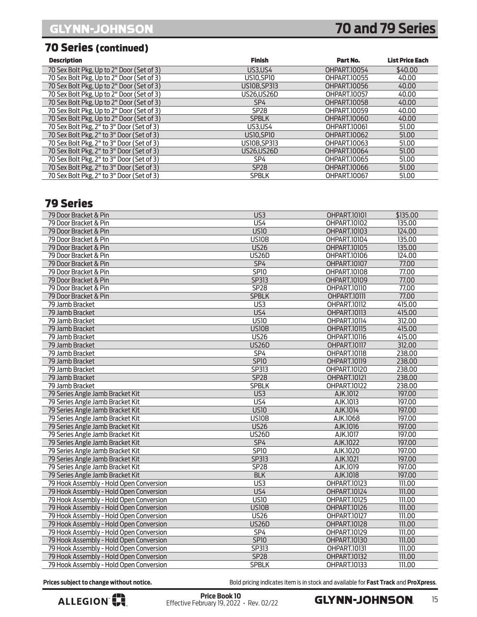# **70 and 79 Series**

## 70 Series (continued)

| <b>Description</b>                        | <b>Finish</b>      | Part No.     | <b>List Price Each</b> |
|-------------------------------------------|--------------------|--------------|------------------------|
| 70 Sex Bolt Pkg. Up to 2" Door (Set of 3) | <b>US3.US4</b>     | OHPART.10054 | \$40.00                |
| 70 Sex Bolt Pkg, Up to 2" Door (Set of 3) | US10.SP10          | OHPART.10055 | 40.00                  |
| 70 Sex Bolt Pkg, Up to 2" Door (Set of 3) | <b>USIOB.SP313</b> | OHPART.10056 | 40.00                  |
| 70 Sex Bolt Pkg. Up to 2" Door (Set of 3) | US26.US26D         | OHPART.10057 | 40.00                  |
| 70 Sex Bolt Pkg, Up to 2" Door (Set of 3) | SP <sub>4</sub>    | OHPART.10058 | 40.00                  |
| 70 Sex Bolt Pkg, Up to 2" Door (Set of 3) | <b>SP28</b>        | OHPART.10059 | 40.00                  |
| 70 Sex Bolt Pkg, Up to 2" Door (Set of 3) | <b>SPBLK</b>       | OHPART.10060 | 40.00                  |
| 70 Sex Bolt Pkg, 2" to 3" Door (Set of 3) | <b>US3.US4</b>     | OHPART.10061 | 51.00                  |
| 70 Sex Bolt Pkg. 2" to 3" Door (Set of 3) | US10.SP10          | OHPART.10062 | 51.00                  |
| 70 Sex Bolt Pkg, 2" to 3" Door (Set of 3) | <b>USIOB.SP313</b> | OHPART.10063 | 51.00                  |
| 70 Sex Bolt Pkg. 2" to 3" Door (Set of 3) | US26.US26D         | OHPART.10064 | 51.00                  |
| 70 Sex Bolt Pkg, 2" to 3" Door (Set of 3) | SP4                | OHPART.10065 | 51.00                  |
| 70 Sex Bolt Pkg, 2" to 3" Door (Set of 3) | SP <sub>28</sub>   | OHPART.10066 | 51.00                  |
| 70 Sex Bolt Pkg, 2" to 3" Door (Set of 3) | <b>SPBLK</b>       | OHPART.10067 | 51.00                  |

### 79 Series

| 79 Door Bracket & Pin                   | US3              | <b>OHPART.10101</b> | \$135.00 |
|-----------------------------------------|------------------|---------------------|----------|
| 79 Door Bracket & Pin                   | US4              | OHPART.10102        | 135.00   |
| 79 Door Bracket & Pin                   | <b>US10</b>      | <b>OHPART.10103</b> | 124.00   |
| 79 Door Bracket & Pin                   | <b>US10B</b>     | OHPART.10104        | 135.00   |
| 79 Door Bracket & Pin                   | <b>US26</b>      | <b>OHPART.10105</b> | 135.00   |
| 79 Door Bracket & Pin                   | <b>US26D</b>     | OHPART.10106        | 124.00   |
| 79 Door Bracket & Pin                   | SP4              | OHPART.10107        | 77.00    |
| 79 Door Bracket & Pin                   | <b>SP10</b>      | OHPART.10108        | 77.00    |
| 79 Door Bracket & Pin                   | SP313            | <b>OHPART.10109</b> | 77.00    |
| 79 Door Bracket & Pin                   | <b>SP28</b>      | <b>OHPART.10110</b> | 77.00    |
| 79 Door Bracket & Pin                   | <b>SPBLK</b>     | <b>OHPART.10111</b> | 77.00    |
| 79 Jamb Bracket                         | US3              | OHPART.10112        | 415.00   |
| 79 Jamb Bracket                         | US4              | <b>OHPART.10113</b> | 415.00   |
| 79 Jamb Bracket                         | <b>US10</b>      | OHPART.10114        | 312.00   |
| 79 Jamb Bracket                         | <b>US10B</b>     | <b>OHPART.10115</b> | 415.00   |
| 79 Jamb Bracket                         | <b>US26</b>      | OHPART.10116        | 415.00   |
| 79 Jamb Bracket                         | <b>US26D</b>     | <b>OHPART.10117</b> | 312.00   |
| 79 Jamb Bracket                         | SP4              | OHPART.10118        | 238.00   |
| 79 Jamb Bracket                         | <b>SP10</b>      | <b>OHPART.10119</b> | 238.00   |
| 79 Jamb Bracket                         | SP313            | OHPART.10120        | 238.00   |
| 79 Jamb Bracket                         | <b>SP28</b>      | <b>OHPART.10121</b> | 238.00   |
| 79 Jamb Bracket                         | <b>SPBLK</b>     | OHPART.10122        | 238.00   |
| 79 Series Angle Jamb Bracket Kit        | US3              | AJK.1012            | 197.00   |
| 79 Series Angle Jamb Bracket Kit        | $\overline{US4}$ | AJK.1013            | 197.00   |
| 79 Series Angle Jamb Bracket Kit        | <b>US10</b>      | AJK.1014            | 197.00   |
| 79 Series Angle Jamb Bracket Kit        | <b>US10B</b>     | AJK.1068            | 197.00   |
| 79 Series Angle Jamb Bracket Kit        | <b>US26</b>      | AJK.1016            | 197.00   |
| 79 Series Angle Jamb Bracket Kit        | <b>US26D</b>     | AJK.1017            | 197.00   |
| 79 Series Angle Jamb Bracket Kit        | SP4              | AJK.1022            | 197.00   |
| 79 Series Angle Jamb Bracket Kit        | <b>SP10</b>      | AJK.1020            | 197.00   |
| 79 Series Angle Jamb Bracket Kit        | <b>SP313</b>     | AJK.1021            | 197.00   |
| 79 Series Angle Jamb Bracket Kit        | <b>SP28</b>      | AJK.1019            | 197.00   |
| 79 Series Angle Jamb Bracket Kit        | <b>BLK</b>       | AJK.1018            | 197.00   |
| 79 Hook Assembly - Hold Open Conversion | $\overline{US3}$ | OHPART.10123        | 111.00   |
| 79 Hook Assembly - Hold Open Conversion | US <sub>4</sub>  | <b>OHPART.10124</b> | 111.00   |
| 79 Hook Assembly - Hold Open Conversion | <b>US10</b>      | OHPART.10125        | 111.00   |
| 79 Hook Assembly - Hold Open Conversion | <b>US10B</b>     | <b>OHPART.10126</b> | 111.00   |
| 79 Hook Assembly - Hold Open Conversion | <b>US26</b>      | OHPART.10127        | 111.00   |
| 79 Hook Assembly - Hold Open Conversion | <b>US26D</b>     | <b>OHPART.10128</b> | 111.00   |
| 79 Hook Assembly - Hold Open Conversion | SP4              | OHPART.10129        | 111.00   |
| 79 Hook Assembly - Hold Open Conversion | <b>SP10</b>      | <b>OHPART.10130</b> | 111.00   |
| 79 Hook Assembly - Hold Open Conversion | <b>SP313</b>     | OHPART.10131        | 111.00   |
| 79 Hook Assembly - Hold Open Conversion | <b>SP28</b>      | <b>OHPART.10132</b> | 111.00   |
| 79 Hook Assembly - Hold Open Conversion | <b>SPBLK</b>     | OHPART.10133        | 111.00   |

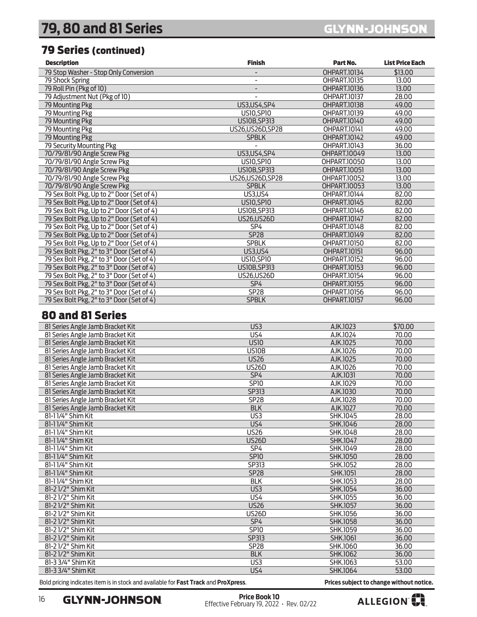## <span id="page-15-0"></span>79 Series (continued)

| <b>Description</b>                        | <b>Finish</b>            | Part No.            | <b>List Price Each</b> |
|-------------------------------------------|--------------------------|---------------------|------------------------|
| 79 Stop Washer - Stop Only Conversion     | $\overline{\phantom{a}}$ | OHPART.10134        | \$13.00                |
| 79 Shock Spring                           |                          | OHPART.10135        | 13.00                  |
| 79 Roll Pin (Pkg of 10)                   | $\overline{\phantom{a}}$ | OHPART.10136        | 13.00                  |
| 79 Adjustment Nut (Pkg of 10)             |                          | <b>OHPART.10137</b> | 28.00                  |
| 79 Mounting Pkg                           | <b>US3.US4.SP4</b>       | OHPART.10138        | 49.00                  |
| 79 Mounting Pkg                           | <b>US10,SP10</b>         | OHPART.10139        | 49.00                  |
| 79 Mounting Pkg                           | <b>USIOB.SP313</b>       | OHPART.10140        | 49.00                  |
| 79 Mounting Pkg                           | US26, US26D, SP28        | OHPART.10141        | 49.00                  |
| 79 Mounting Pkg                           | <b>SPBLK</b>             | OHPART.10142        | 49.00                  |
| 79 Security Mounting Pkg                  |                          | OHPART.10143        | 36.00                  |
| 70/79/81/90 Angle Screw Pkg               | US3, US4, SP4            | <b>OHPART.10049</b> | 13.00                  |
| 70/79/81/90 Angle Screw Pkg               | <b>US10.SP10</b>         | <b>OHPART.10050</b> | 13.00                  |
| 70/79/81/90 Angle Screw Pkg               | <b>USIOB.SP313</b>       | <b>OHPART.10051</b> | 13.00                  |
| 70/79/81/90 Angle Screw Pkg               | US26, US26 D. SP28       | OHPART.10052        | 13.00                  |
| 70/79/81/90 Angle Screw Pkg               | <b>SPBLK</b>             | OHPART.10053        | 13.00                  |
| 79 Sex Bolt Pkg, Up to 2" Door (Set of 4) | <b>US3.US4</b>           | OHPART.10144        | 82.00                  |
| 79 Sex Bolt Pkg, Up to 2" Door (Set of 4) | <b>US10.SP10</b>         | OHPART.10145        | 82.00                  |
| 79 Sex Bolt Pkg, Up to 2" Door (Set of 4) | US10B, SP313             | OHPART.10146        | 82.00                  |
| 79 Sex Bolt Pkg, Up to 2" Door (Set of 4) | <b>US26.US26D</b>        | OHPART.10147        | 82.00                  |
| 79 Sex Bolt Pkg, Up to 2" Door (Set of 4) | SP <sub>4</sub>          | OHPART.10148        | 82.00                  |
| 79 Sex Bolt Pkg, Up to 2" Door (Set of 4) | <b>SP28</b>              | OHPART.10149        | 82.00                  |
| 79 Sex Bolt Pkg, Up to 2" Door (Set of 4) | <b>SPBLK</b>             | OHPART.10150        | 82.00                  |
| 79 Sex Bolt Pkg, 2" to 3" Door (Set of 4) | <b>US3.US4</b>           | <b>OHPART.10151</b> | 96.00                  |
| 79 Sex Bolt Pkg, 2" to 3" Door (Set of 4) | <b>US10,SP10</b>         | OHPART.10152        | 96.00                  |
| 79 Sex Bolt Pkg, 2" to 3" Door (Set of 4) | <b>USIOB.SP313</b>       | <b>OHPART.10153</b> | 96.00                  |
| 79 Sex Bolt Pkg, 2" to 3" Door (Set of 4) | US26,US26D               | OHPART.10154        | 96.00                  |
| 79 Sex Bolt Pkg, 2" to 3" Door (Set of 4) | SP <sub>4</sub>          | <b>OHPART.10155</b> | 96.00                  |
| 79 Sex Bolt Pkg, 2" to 3" Door (Set of 4) | <b>SP28</b>              | OHPART.10156        | 96.00                  |
| 79 Sex Bolt Pkg, 2" to 3" Door (Set of 4) | <b>SPBLK</b>             | <b>OHPART.10157</b> | 96.00                  |

## 80 and 81 Series

| 81 Series Angle Jamb Bracket Kit | US3             | AJK.1023        | \$70.00 |
|----------------------------------|-----------------|-----------------|---------|
| 81 Series Angle Jamb Bracket Kit | US4             | AJK.1024        | 70.00   |
| 81 Series Angle Jamb Bracket Kit | <b>US10</b>     | AJK.1025        | 70.00   |
| 81 Series Angle Jamb Bracket Kit | US10B           | AJK.1026        | 70.00   |
| 81 Series Angle Jamb Bracket Kit | <b>US26</b>     | AJK.1025        | 70.00   |
| 81 Series Angle Jamb Bracket Kit | <b>US26D</b>    | AJK.1026        | 70.00   |
| 81 Series Angle Jamb Bracket Kit | SP4             | AJK.1031        | 70.00   |
| 81 Series Angle Jamb Bracket Kit | <b>SP10</b>     | AJK.1029        | 70.00   |
| 81 Series Angle Jamb Bracket Kit | SP313           | AJK.1030        | 70.00   |
| 81 Series Angle Jamb Bracket Kit | <b>SP28</b>     | AJK.1028        | 70.00   |
| 81 Series Angle Jamb Bracket Kit | <b>BLK</b>      | AJK.1027        | 70.00   |
| 81-11/4" Shim Kit                | US3             | SHK.1045        | 28.00   |
| 81-11/4" Shim Kit                | US4             | SHK.1046        | 28.00   |
| 81-11/4" Shim Kit                | <b>US26</b>     | SHK.1048        | 28,00   |
| 81-11/4" Shim Kit                | <b>US26D</b>    | <b>SHK.1047</b> | 28.00   |
| 81-11/4" Shim Kit                | SP4             | SHK.1049        | 28.00   |
| 81-11/4" Shim Kit                | <b>SP10</b>     | <b>SHK.1050</b> | 28.00   |
| 81-11/4" Shim Kit                | SP313           | SHK.1052        | 28.00   |
| 81-11/4" Shim Kit                | <b>SP28</b>     | <b>SHK.1051</b> | 28.00   |
| 81-11/4" Shim Kit                | <b>BLK</b>      | SHK.1053        | 28.00   |
| 81-21/2" Shim Kit                | US3             | SHK.1054        | 36.00   |
| 81-21/2" Shim Kit                | US <sub>4</sub> | SHK.1055        | 36.00   |
| 81-21/2" Shim Kit                | <b>US26</b>     | SHK.1057        | 36.00   |
| 81-21/2" Shim Kit                | <b>US26D</b>    | SHK.1056        | 36.00   |
| 81-21/2" Shim Kit                | SP <sub>4</sub> | <b>SHK.1058</b> | 36.00   |
| 81-21/2" Shim Kit                | <b>SP10</b>     | SHK.1059        | 36.00   |
| 81-21/2" Shim Kit                | SP313           | <b>SHK.1061</b> | 36.00   |
| 81-21/2" Shim Kit                | <b>SP28</b>     | SHK.1060        | 36.00   |
| 81-21/2" Shim Kit                | <b>BLK</b>      | <b>SHK.1062</b> | 36.00   |
| 81-3 3/4" Shim Kit               | US3             | SHK.1063        | 53.00   |
| 81-3 3/4" Shim Kit               | US4             | SHK.1064        | 53.00   |

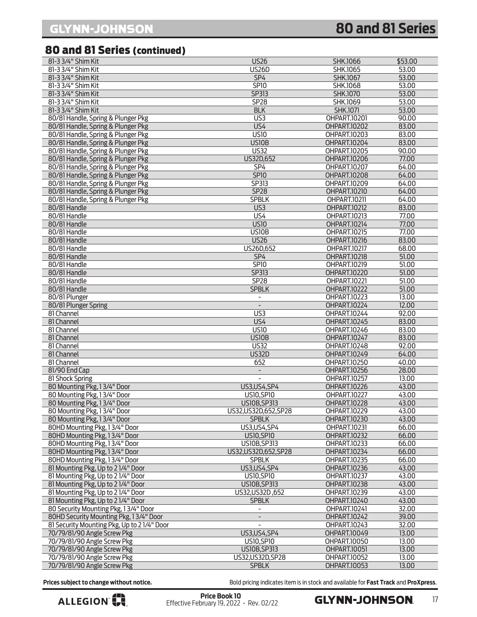## **80 and 81 Series**

## <span id="page-16-0"></span>80 and 81 Series (continued)

| 81-3 3/4" Shim Kit                         | <b>US26</b>              | SHK.1066            | \$53.00 |
|--------------------------------------------|--------------------------|---------------------|---------|
| 81-3 3/4" Shim Kit                         | <b>US26D</b>             | SHK.1065            | 53.00   |
| 81-3 3/4" Shim Kit                         | SP4                      | SHK.1067            | 53.00   |
| 81-3 3/4" Shim Kit                         | SP10                     | SHK.1068            | 53.00   |
| 81-3 3/4" Shim Kit                         | <b>SP313</b>             | SHK.1070            | 53.00   |
| 81-3 3/4" Shim Kit                         | <b>SP28</b>              | SHK.1069            | 53.00   |
| 81-3 3/4" Shim Kit                         | <b>BLK</b>               | SHK.1071            | 53.00   |
| 80/81 Handle, Spring & Plunger Pkg         | US3                      | OHPART.10201        | 90.00   |
| 80/81 Handle, Spring & Plunger Pkg         | US4                      | <b>OHPART.10202</b> | 83.00   |
| 80/81 Handle, Spring & Plunger Pkg         | USDO                     | OHPART.10203        | 83.00   |
| 80/81 Handle, Spring & Plunger Pkg         | <b>US10B</b>             | <b>OHPART.10204</b> | 83.00   |
| 80/81 Handle, Spring & Plunger Pkg         | <b>US32</b>              | <b>OHPART.10205</b> | 90.00   |
| 80/81 Handle, Spring & Plunger Pkg         | US32D,652                | <b>OHPART.10206</b> | 77.00   |
| 80/81 Handle, Spring & Plunger Pkg         | SP4                      | OHPART.10207        | 64.00   |
| 80/81 Handle, Spring & Plunger Pkg         | <b>SP10</b>              | <b>OHPART.10208</b> | 64.00   |
| 80/81 Handle, Spring & Plunger Pkg         | SP313                    | OHPART.10209        | 64.00   |
| 80/81 Handle, Spring & Plunger Pkg         | SP28                     | <b>OHPART.10210</b> | 64.00   |
| 80/81 Handle, Spring & Plunger Pkg         | <b>SPBLK</b>             | <b>OHPART.10211</b> | 64.00   |
| 80/81 Handle                               | US3                      | <b>OHPART.10212</b> | 83.00   |
| 80/81 Handle                               | US4                      | <b>OHPART.10213</b> | 77.00   |
| 80/81 Handle                               | <b>US10</b>              | <b>OHPART.10214</b> | 77.00   |
| 80/81 Handle                               | US10B                    | OHPART.10215        | 77.00   |
| 80/81 Handle                               | <b>US26</b>              | <b>OHPART.10216</b> | 83.00   |
| 80/81 Handle                               | US26D,652                | OHPART.10217        | 68.00   |
| 80/81 Handle                               | SP4                      | <b>OHPART.10218</b> | 51.00   |
| 80/81 Handle                               | <b>SP10</b>              | OHPART.10219        | 51.00   |
| 80/81 Handle                               | <b>SP313</b>             | <b>OHPART.10220</b> | 51.00   |
| 80/81 Handle                               | SP28                     | <b>OHPART.10221</b> | 51.00   |
| 80/81 Handle                               | <b>SPBLK</b>             | <b>OHPART.10222</b> | 51.00   |
| 80/81 Plunger                              | ÷,                       | OHPART.10223        | 13.00   |
| 80/81 Plunger Spring                       | $\overline{\phantom{a}}$ | <b>OHPART.10224</b> | 12.00   |
| 81 Channel                                 | US3                      | OHPART.10244        | 92.00   |
| 81 Channel                                 | US4                      | OHPART.10245        | 83.00   |
| 81 Channel                                 | <b>US10</b>              | OHPART.10246        | 83.00   |
| 81 Channel                                 | <b>US10B</b>             | <b>OHPART.10247</b> | 83.00   |
| 81 Channel                                 | <b>US32</b>              | OHPART.10248        | 92.00   |
| 81 Channel                                 | <b>US32D</b>             | OHPART.10249        | 64.00   |
| 81 Channel                                 | 652                      | OHPART.10250        | 40.00   |
| 81/90 End Cap                              | $\overline{\phantom{a}}$ | OHPART.10256        | 28.00   |
| 81 Shock Spring                            | $\overline{a}$           | OHPART.10257        | 13.00   |
| 80 Mounting Pkg, 13/4" Door                | US3,US4,SP4              | OHPART.10226        | 43.00   |
| 80 Mounting Pkg, 13/4" Door                | <b>US10, SP10</b>        | <b>OHPART.10227</b> | 43.00   |
| 80 Mounting Pkg, 13/4" Door                | <b>US10B, SP313</b>      | OHPART.10228        | 43.00   |
| 80 Mounting Pkg, 13/4" Door                | US32, US32D, 652, SP28   | OHPART.10229        | 43.00   |
| 80 Mounting Pkg, 13/4" Door                | <b>SPBLK</b>             | <b>OHPART.10230</b> | 43.00   |
| 80HD Mounting Pkg, 13/4" Door              | <b>US3, US4, SP4</b>     | <b>OHPART.10231</b> | 66.00   |
| 80HD Mounting Pkg, 13/4" Door              | <b>US10, SP10</b>        | OHPART.10232        | 66.00   |
| 80HD Mounting Pkg, 13/4" Door              | <b>US10B, SP313</b>      | OHPART.10233        | 66.00   |
| 80HD Mounting Pkg, 13/4" Door              | US32, US32D, 652, SP28   | OHPART.10234        | 66.00   |
| 80HD Mounting Pkg, 13/4" Door              | <b>SPBLK</b>             | OHPART.10235        | 66.00   |
| 81 Mounting Pkg, Up to 21/4" Door          | <b>US3,US4,SP4</b>       | OHPART.10236        | 43.00   |
| 81 Mounting Pkg, Up to 21/4" Door          | <b>US10, SP10</b>        | OHPART.10237        | 43.00   |
| 81 Mounting Pkg, Up to 21/4" Door          | <b>US10B, SP313</b>      | OHPART.10238        | 43.00   |
| 81 Mounting Pkg, Up to 21/4" Door          | US32,US32D,652           | OHPART.10239        | 43.00   |
| 81 Mounting Pkg, Up to 21/4" Door          | <b>SPBLK</b>             | OHPART.10240        | 43.00   |
| 80 Security Mounting Pkg, 13/4" Door       | $\overline{\phantom{a}}$ | OHPART.10241        | 32.00   |
| 80HD Security Mounting Pkg, 13/4" Door     | $\overline{\phantom{a}}$ | OHPART.10242        | 39.00   |
| 81 Security Mounting Pkg, Up to 21/4" Door | $\overline{\phantom{a}}$ | OHPART.10243        | 32.00   |
| 70/79/81/90 Angle Screw Pkg                | <b>US3,US4,SP4</b>       | OHPART.10049        | 13.00   |
| 70/79/81/90 Angle Screw Pkg                | <b>US10, SP10</b>        | OHPART.10050        | 13.00   |
| 70/79/81/90 Angle Screw Pkg                | <b>US10B, SP313</b>      | OHPART.10051        | 13.00   |
| 70/79/81/90 Angle Screw Pkg                | US32, US32D, SP28        | OHPART.10052        | 13.00   |
| 70/79/81/90 Angle Screw Pkg                | <b>SPBLK</b>             | OHPART.10053        | 13.00   |
|                                            |                          |                     |         |

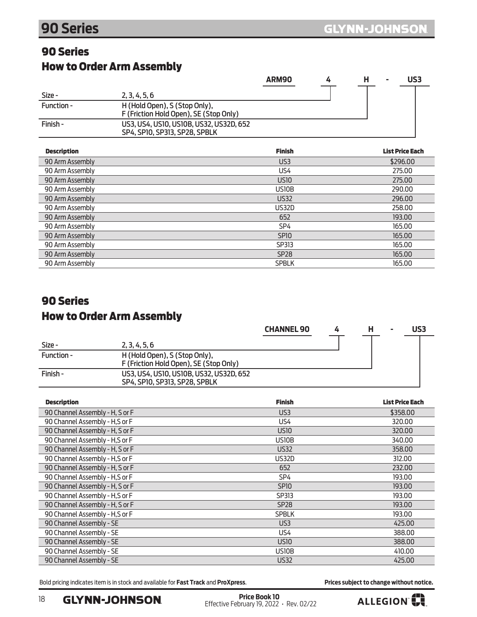## <span id="page-17-0"></span>90 Series How to Order Arm Assembly

|                    |                                                                          | <b>ARM90</b>     | 4 | н | US <sub>3</sub>        |
|--------------------|--------------------------------------------------------------------------|------------------|---|---|------------------------|
| Size-              | 2, 3, 4, 5, 6                                                            |                  |   |   |                        |
| Function -         | H (Hold Open), S (Stop Only),<br>F (Friction Hold Open), SE (Stop Only)  |                  |   |   |                        |
| Finish -           | US3, US4, US10, US10B, US32, US32D, 652<br>SP4, SP10, SP313, SP28, SPBLK |                  |   |   |                        |
| <b>Description</b> |                                                                          | <b>Finish</b>    |   |   | <b>List Price Each</b> |
| 90 Arm Assembly    |                                                                          | US3              |   |   | \$296.00               |
| 90 Arm Assembly    |                                                                          | US4              |   |   | 275.00                 |
| 90 Arm Assembly    |                                                                          | <b>US10</b>      |   |   | 275.00                 |
| 90 Arm Assembly    |                                                                          | US10B            |   |   | 290.00                 |
| 90 Arm Assembly    |                                                                          | <b>US32</b>      |   |   | 296.00                 |
| 90 Arm Assembly    |                                                                          | <b>US32D</b>     |   |   | 258.00                 |
| 90 Arm Assembly    |                                                                          | 652              |   |   | 193.00                 |
| 90 Arm Assembly    |                                                                          | SP <sub>4</sub>  |   |   | 165.00                 |
| 90 Arm Assembly    |                                                                          | SP <sub>10</sub> |   |   | 165.00                 |
| 90 Arm Assembly    |                                                                          | SP313            |   |   | 165.00                 |
| 90 Arm Assembly    |                                                                          | <b>SP28</b>      |   |   | 165.00                 |
| 90 Arm Assembly    |                                                                          | <b>SPBLK</b>     |   |   | 165.00                 |

## 90 Series How to Order Arm Assembly

|            |                                                                          | <b>CHANNEL 90</b> | Д |  | US3 |
|------------|--------------------------------------------------------------------------|-------------------|---|--|-----|
| Size -     | 2, 3, 4, 5, 6                                                            |                   |   |  |     |
| Function - | H (Hold Open), S (Stop Only),<br>F (Friction Hold Open), SE (Stop Only)  |                   |   |  |     |
| Finish -   | US3, US4, US10, US10B, US32, US32D, 652<br>SP4, SP10, SP313, SP28, SPBLK |                   |   |  |     |

| <b>Description</b>              | <b>Finish</b> | <b>List Price Each</b> |
|---------------------------------|---------------|------------------------|
| 90 Channel Assembly - H, S or F | US3           | \$358.00               |
| 90 Channel Assembly - H,S or F  | US4           | 320.00                 |
| 90 Channel Assembly - H, S or F | <b>US10</b>   | 320.00                 |
| 90 Channel Assembly - H,S or F  | US10B         | 340.00                 |
| 90 Channel Assembly - H, S or F | <b>US32</b>   | 358,00                 |
| 90 Channel Assembly - H,S or F  | <b>US32D</b>  | 312.00                 |
| 90 Channel Assembly - H, S or F | 652           | 232.00                 |
| 90 Channel Assembly - H,S or F  | SP4           | 193.00                 |
| 90 Channel Assembly - H, S or F | <b>SP10</b>   | 193.00                 |
| 90 Channel Assembly - H,S or F  | SP313         | 193.00                 |
| 90 Channel Assembly - H, S or F | <b>SP28</b>   | 193.00                 |
| 90 Channel Assembly - H,S or F  | <b>SPBLK</b>  | 193.00                 |
| 90 Channel Assembly - SE        | US3           | 425.00                 |
| 90 Channel Assembly - SE        | US4           | 388.00                 |
| 90 Channel Assembly - SE        | <b>US10</b>   | 388.00                 |
| 90 Channel Assembly - SE        | US10B         | 410.00                 |
| 90 Channel Assembly - SE        | <b>US32</b>   | 425.00                 |

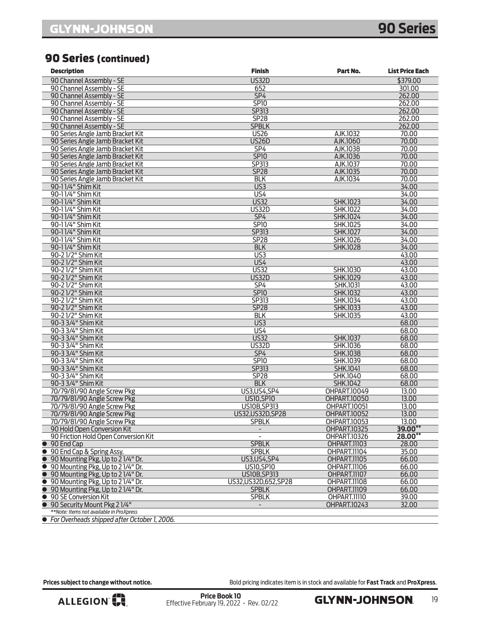## <span id="page-18-0"></span>90 Series (continued)

| <b>Description</b>                                         | <b>Finish</b>                           | Part No.                            | <b>List Price Each</b> |
|------------------------------------------------------------|-----------------------------------------|-------------------------------------|------------------------|
| 90 Channel Assembly - SE                                   | <b>US32D</b>                            |                                     | \$379.00               |
| 90 Channel Assembly - SE                                   | 652                                     |                                     | 301.00                 |
| 90 Channel Assembly - SE                                   | SP4                                     |                                     | 262.00                 |
| 90 Channel Assembly - SE                                   | <b>SP10</b>                             |                                     | 262.00                 |
| 90 Channel Assembly - SE                                   | SP313                                   |                                     | 262.00                 |
| 90 Channel Assembly - SE                                   | <b>SP28</b>                             |                                     | 262.00                 |
| 90 Channel Assembly - SE                                   | <b>SPBLK</b>                            |                                     | 262.00                 |
| 90 Series Angle Jamb Bracket Kit                           | <b>US26</b>                             | AJK.1032                            | 70.00                  |
| 90 Series Angle Jamb Bracket Kit                           | <b>US26D</b>                            | AJK.1060                            | 70.00                  |
| 90 Series Angle Jamb Bracket Kit                           | SP4                                     | AJK.1038                            | 70.00                  |
| 90 Series Angle Jamb Bracket Kit                           | <b>SP10</b>                             | AJK.1036                            | 70.00                  |
| 90 Series Angle Jamb Bracket Kit                           | <b>SP313</b>                            | AJK.1037                            | 70.00                  |
| 90 Series Angle Jamb Bracket Kit                           | <b>SP28</b>                             | AJK.1035                            | 70.00                  |
| 90 Series Angle Jamb Bracket Kit                           | <b>BLK</b>                              | AJK.1034                            | 70.00                  |
| 90-11/4" Shim Kit                                          | $\overline{US3}$                        |                                     | 34.00                  |
| 90-11/4" Shim Kit                                          | US4                                     |                                     | 34.00                  |
| 90-11/4" Shim Kit                                          | <b>US32</b>                             | <b>SHK.1023</b>                     | 34.00                  |
| 90-11/4" Shim Kit                                          | <b>US32D</b>                            | SHK.1022                            | 34.00                  |
| 90-11/4" Shim Kit                                          | SP4                                     | SHK.1024                            | 34.00                  |
| 90-11/4" Shim Kit                                          | <b>SP10</b>                             | SHK.1025                            | 34.00                  |
| 90-11/4" Shim Kit                                          | <b>SP313</b>                            | SHK.1027                            | 34.00                  |
| 90-11/4" Shim Kit                                          | <b>SP28</b>                             | SHK.1026                            | 34.00                  |
| 90-11/4" Shim Kit                                          | <b>BLK</b>                              | <b>SHK.1028</b>                     | 34.00                  |
| 90-21/2" Shim Kit                                          | U <sub>S3</sub>                         |                                     | 43.00                  |
| 90-21/2" Shim Kit                                          | US4                                     |                                     | 43.00                  |
| 90-21/2" Shim Kit                                          | <b>US32</b>                             | SHK.1030                            | 43.00                  |
| 90-21/2" Shim Kit                                          | <b>US32D</b>                            | SHK.1029                            | 43.00                  |
| 90-21/2" Shim Kit                                          | SP4                                     | SHK.1031                            | 43.00                  |
| 90-21/2" Shim Kit                                          | <b>SP10</b>                             | SHK.1032                            | 43.00                  |
| 90-21/2" Shim Kit                                          | <b>SP313</b>                            | SHK.1034                            | 43.00                  |
| 90-21/2" Shim Kit                                          | <b>SP28</b>                             | SHK.1033                            | 43.00                  |
| 90-21/2" Shim Kit                                          | <b>BLK</b>                              | SHK.1035                            | 43.00                  |
| 90-3 3/4" Shim Kit                                         | $\overline{US3}$                        |                                     | 68.00                  |
| 90-3 3/4" Shim Kit                                         | U <sub>54</sub>                         |                                     | 68.00                  |
| 90-3 3/4" Shim Kit                                         | <b>US32</b>                             | SHK.1037                            | 68.00                  |
| 90-3 3/4" Shim Kit                                         | <b>US32D</b>                            | <b>SHK.1036</b>                     | 68.00                  |
| 90-3 3/4" Shim Kit                                         | SP4                                     | <b>SHK.1038</b>                     | 68.00                  |
| 90-3 3/4" Shim Kit                                         | <b>SP10</b>                             | SHK.1039                            | 68.00                  |
| 90-3 3/4" Shim Kit                                         | <b>SP313</b>                            | <b>SHK.1041</b>                     | 68.00                  |
| 90-3 3/4" Shim Kit                                         | <b>SP28</b>                             | SHK.1040                            | 68.00                  |
| 90-3 3/4" Shim Kit                                         | <b>BLK</b>                              | SHK.1042                            | 68.00                  |
| 70/79/81/90 Angle Screw Pkg<br>70/79/81/90 Angle Screw Pkg | US3,US4,SP4                             | OHPART.10049                        | 13.00<br>13.00         |
| 70/79/81/90 Angle Screw Pkg                                | <b>US10,SP10</b><br><b>US10B, SP313</b> | <b>OHPART.10050</b><br>OHPART.10051 | 13.00                  |
| 70/79/81/90 Angle Screw Pkg                                | US32, US32D, SP28                       | <b>OHPART.10052</b>                 | 13.00                  |
| 70/79/81/90 Angle Screw Pkg                                | <b>SPBLK</b>                            | OHPART.10053                        | 13.00                  |
| 90 Hold Open Conversion Kit                                |                                         | <b>OHPART.10325</b>                 | 39.00**                |
| 90 Friction Hold Open Conversion Kit                       |                                         | OHPART.10326                        | $28.00**$              |
| $\bullet$ 90 End Cap                                       | <b>SPBLK</b>                            | <b>OHPART.11103</b>                 | 28.00                  |
| ● 90 End Cap & Spring Assy.                                | <b>SPBLK</b>                            | <b>OHPART.11104</b>                 | 35.00                  |
| • 90 Mounting Pkg, Up to 2 1/4" Dr.                        | <b>US3, US4, SP4</b>                    | <b>OHPART.11105</b>                 | 66.00                  |
| ● 90 Mounting Pkg, Up to 2 1/4" Dr.                        | <b>US10,SP10</b>                        | <b>OHPART.11106</b>                 | 66.00                  |
| 90 Mounting Pkg, Up to 2 1/4" Dr.<br>$\bullet$             | <b>US10B, SP313</b>                     | <b>OHPART.11107</b>                 | 66.00                  |
| ● 90 Mounting Pkg, Up to 2 1/4" Dr.                        | US32, US32D, 652, SP28                  | <b>OHPART.11108</b>                 | 66.00                  |
| ● 90 Mounting Pkg, Up to 2 1/4" Dr.                        | <b>SPBLK</b>                            | <b>OHPART.11109</b>                 | 66.00                  |
| 90 SE Conversion Kit<br>$\bullet$                          | <b>SPBLK</b>                            | OHPART.IIII0                        | 39.00                  |
| • 90 Security Mount Pkg 2 1/4"                             |                                         | OHPART.10243                        | 32.00                  |
| **Note: Items not available in ProXpress                   |                                         |                                     |                        |
| For Overheads shinned after October 1, 2006                |                                         |                                     |                        |

l *For Overheads shipped after October 1, 2006.*

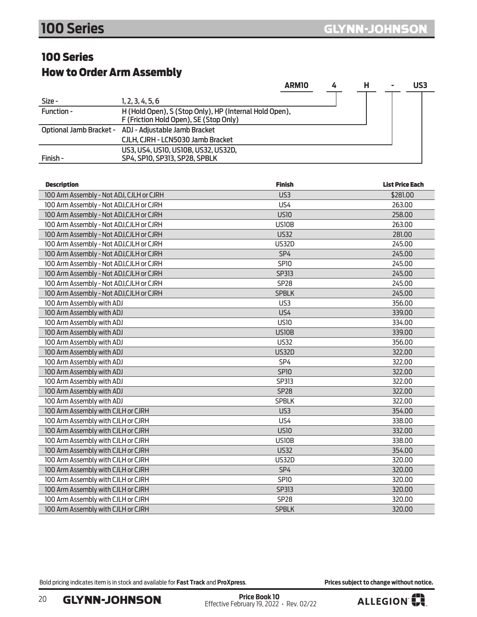## 100 Series How to Order Arm Assembly

|            |                                                                                                  | <b>ARM10</b> | Н | ۰ | US <sub>3</sub> |
|------------|--------------------------------------------------------------------------------------------------|--------------|---|---|-----------------|
| Size -     | 1, 2, 3, 4, 5, 6                                                                                 |              |   |   |                 |
| Function - | H (Hold Open), S (Stop Only), HP (Internal Hold Open),<br>F (Friction Hold Open), SE (Stop Only) |              |   |   |                 |
|            | Optional Jamb Bracket - ADJ - Adjustable Jamb Bracket                                            |              |   |   |                 |
|            | CJLH, CJRH - LCN5030 Jamb Bracket                                                                |              |   |   |                 |
| Finish -   | US3, US4, US10, US10B, US32, US32D,<br>SP4, SP10, SP313, SP28, SPBLK                             |              |   |   |                 |

| <b>Description</b>                       | <b>Finish</b> | <b>List Price Each</b> |
|------------------------------------------|---------------|------------------------|
| 100 Arm Assembly - Not ADJ, CJLH or CJRH | US3           | \$281.00               |
| 100 Arm Assembly - Not ADJ, CJLH or CJRH | US4           | 263.00                 |
| 100 Arm Assembly - Not ADJ, CJLH or CJRH | <b>US10</b>   | 258.00                 |
| 100 Arm Assembly - Not ADJ, CJLH or CJRH | <b>US10B</b>  | 263.00                 |
| 100 Arm Assembly - Not ADJ, CJLH or CJRH | <b>US32</b>   | 281.00                 |
| 100 Arm Assembly - Not ADJ, CJLH or CJRH | <b>US32D</b>  | 245.00                 |
| 100 Arm Assembly - Not ADJ, CJLH or CJRH | SP4           | 245.00                 |
| 100 Arm Assembly - Not ADJ, CJLH or CJRH | <b>SP10</b>   | 245.00                 |
| 100 Arm Assembly - Not ADJ, CJLH or CJRH | SP313         | 245.00                 |
| 100 Arm Assembly - Not ADJ, CJLH or CJRH | <b>SP28</b>   | 245.00                 |
| 100 Arm Assembly - Not ADJ, CJLH or CJRH | <b>SPBLK</b>  | 245.00                 |
| 100 Arm Assembly with ADJ                | US3           | 356.00                 |
| 100 Arm Assembly with ADJ                | US4           | 339.00                 |
| 100 Arm Assembly with ADJ                | <b>US10</b>   | 334.00                 |
| 100 Arm Assembly with ADJ                | <b>US10B</b>  | 339.00                 |
| 100 Arm Assembly with ADJ                | <b>US32</b>   | 356.00                 |
| 100 Arm Assembly with ADJ                | <b>US32D</b>  | 322.00                 |
| 100 Arm Assembly with ADJ                | SP4           | 322.00                 |
| 100 Arm Assembly with ADJ                | <b>SP10</b>   | 322.00                 |
| 100 Arm Assembly with ADJ                | SP313         | 322.00                 |
| 100 Arm Assembly with ADJ                | <b>SP28</b>   | 322.00                 |
| 100 Arm Assembly with ADJ                | <b>SPBLK</b>  | 322.00                 |
| 100 Arm Assembly with CJLH or CJRH       | US3           | 354.00                 |
| 100 Arm Assembly with CJLH or CJRH       | US4           | 338.00                 |
| 100 Arm Assembly with CJLH or CJRH       | <b>US10</b>   | 332.00                 |
| 100 Arm Assembly with CJLH or CJRH       | US10B         | 338.00                 |
| 100 Arm Assembly with CJLH or CJRH       | <b>US32</b>   | 354.00                 |
| 100 Arm Assembly with CJLH or CJRH       | <b>US32D</b>  | 320.00                 |
| 100 Arm Assembly with CJLH or CJRH       | SP4           | 320.00                 |
| 100 Arm Assembly with CJLH or CJRH       | <b>SP10</b>   | 320.00                 |
| 100 Arm Assembly with CJLH or CJRH       | <b>SP313</b>  | 320.00                 |
| 100 Arm Assembly with CJLH or CJRH       | <b>SP28</b>   | 320.00                 |
| 100 Arm Assembly with CJLH or CJRH       | <b>SPBLK</b>  | 320.00                 |

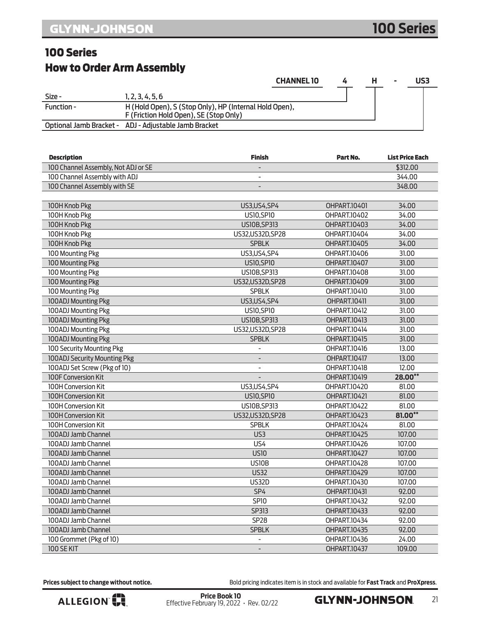## 100 Series How to Order Arm Assembly

|            | <b>CHANNEL 10</b>                                      |  | US3 |
|------------|--------------------------------------------------------|--|-----|
| Size -     | 1, 2, 3, 4, 5, 6                                       |  |     |
| Function - | H (Hold Open), S (Stop Only), HP (Internal Hold Open), |  |     |
|            | F (Friction Hold Open), SE (Stop Only)                 |  |     |
|            | Optional Jamb Bracket - ADJ - Adiustable Jamb Bracket  |  |     |

| <b>Description</b>                  | <b>Finish</b>            | Part No.            | <b>List Price Each</b> |
|-------------------------------------|--------------------------|---------------------|------------------------|
| 100 Channel Assembly, Not ADJ or SE |                          |                     | \$312.00               |
| 100 Channel Assembly with ADJ       | $\blacksquare$           |                     | 344.00                 |
| 100 Channel Assembly with SE        | $\overline{\phantom{a}}$ |                     | 348.00                 |
|                                     |                          |                     |                        |
| 100H Knob Pkg                       | <b>US3, US4, SP4</b>     | OHPART.10401        | 34.00                  |
| 100H Knob Pkg                       | <b>US10, SP10</b>        | OHPART.10402        | 34.00                  |
| 100H Knob Pkg                       | <b>US10B, SP313</b>      | OHPART.10403        | 34.00                  |
| 100H Knob Pkg                       | US32, US32D, SP28        | OHPART.10404        | 34.00                  |
| 100H Knob Pkg                       | <b>SPBLK</b>             | OHPART.10405        | 34.00                  |
| 100 Mounting Pkg                    | US3,US4,SP4              | OHPART.10406        | 31.00                  |
| 100 Mounting Pkg                    | <b>US10, SP10</b>        | OHPART.10407        | 31.00                  |
| 100 Mounting Pkg                    | <b>US10B, SP313</b>      | OHPART.10408        | 31.00                  |
| 100 Mounting Pkg                    | US32, US32D, SP28        | OHPART.10409        | 31.00                  |
| 100 Mounting Pkg                    | <b>SPBLK</b>             | OHPART.10410        | 31.00                  |
| 100ADJ Mounting Pkg                 | <b>US3, US4, SP4</b>     | <b>OHPART.10411</b> | 31.00                  |
| 100ADJ Mounting Pkg                 | <b>US10, SP10</b>        | <b>OHPART.10412</b> | 31.00                  |
| 100ADJ Mounting Pkg                 | <b>US10B, SP313</b>      | OHPART.10413        | 31.00                  |
| 100ADJ Mounting Pkg                 | US32, US32D, SP28        | OHPART.10414        | 31.00                  |
| 100ADJ Mounting Pkg                 | <b>SPBLK</b>             | <b>OHPART.10415</b> | 31.00                  |
| 100 Security Mounting Pkg           | $\frac{1}{2}$            | OHPART.10416        | 13.00                  |
| 100ADJ Security Mounting Pkg        | $\overline{\phantom{a}}$ | OHPART.10417        | 13.00                  |
| 100ADJ Set Screw (Pkg of 10)        | ä,                       | OHPART.10418        | 12.00                  |
| 100F Conversion Kit                 |                          | OHPART.10419        | 28.00**                |
| 100H Conversion Kit                 | US3,US4,SP4              | OHPART.10420        | 81.00                  |
| <b>100H Conversion Kit</b>          | <b>US10, SP10</b>        | <b>OHPART.10421</b> | 81.00                  |
| <b>100H Conversion Kit</b>          | US10B, SP313             | <b>OHPART.10422</b> | 81.00                  |
| <b>100H Conversion Kit</b>          | US32, US32D, SP28        | <b>OHPART.10423</b> | 81.00**                |
| <b>100H Conversion Kit</b>          | <b>SPBLK</b>             | OHPART.10424        | 81.00                  |
| 100ADJ Jamb Channel                 | US3                      | <b>OHPART.10425</b> | 107.00                 |
| 100ADJ Jamb Channel                 | US4                      | OHPART.10426        | 107.00                 |
| 100ADJ Jamb Channel                 | <b>US10</b>              | <b>OHPART.10427</b> | 107.00                 |
| 100ADJ Jamb Channel                 | <b>US10B</b>             | OHPART.10428        | 107.00                 |
| 100ADJ Jamb Channel                 | <b>US32</b>              | OHPART.10429        | 107.00                 |
| 100ADJ Jamb Channel                 | <b>US32D</b>             | OHPART.10430        | 107.00                 |
| 100ADJ Jamb Channel                 | SP4                      | OHPART.10431        | 92.00                  |
| 100ADJ Jamb Channel                 | <b>SP10</b>              | OHPART.10432        | 92.00                  |
| 100ADJ Jamb Channel                 | SP313                    | OHPART.10433        | 92.00                  |
| 100ADJ Jamb Channel                 | <b>SP28</b>              | OHPART.10434        | 92.00                  |
| 100ADJ Jamb Channel                 | <b>SPBLK</b>             | OHPART.10435        | 92.00                  |
| 100 Grommet (Pkg of 10)             | ÷,                       | OHPART.10436        | 24.00                  |
| <b>100 SE KIT</b>                   | $\frac{1}{2}$            | OHPART.10437        | 109.00                 |

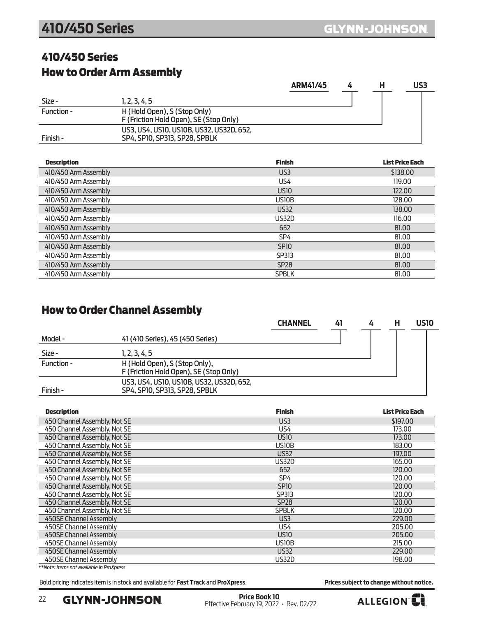## 410/450 Series How to Order Arm Assembly

|            |                                                                           | ARM41/45 |  | US3 |
|------------|---------------------------------------------------------------------------|----------|--|-----|
| Size -     | 1, 2, 3, 4, 5                                                             |          |  |     |
| Function - | H (Hold Open), S (Stop Only)<br>F (Friction Hold Open), SE (Stop Only)    |          |  |     |
| Finish -   | US3, US4, US10, US10B, US32, US32D, 652,<br>SP4, SP10, SP313, SP28, SPBLK |          |  |     |
|            |                                                                           |          |  |     |

| <b>Description</b>   | <b>Finish</b>   | <b>List Price Each</b> |
|----------------------|-----------------|------------------------|
| 410/450 Arm Assembly | US <sub>3</sub> | \$138.00               |
| 410/450 Arm Assembly | US <sub>4</sub> | 119.00                 |
| 410/450 Arm Assembly | <b>US10</b>     | 122.00                 |
| 410/450 Arm Assembly | US10B           | 128.00                 |
| 410/450 Arm Assembly | <b>US32</b>     | 138.00                 |
| 410/450 Arm Assembly | US32D           | 116.00                 |
| 410/450 Arm Assembly | 652             | 81.00                  |
| 410/450 Arm Assembly | SP <sub>4</sub> | 81.00                  |
| 410/450 Arm Assembly | <b>SP10</b>     | 81.00                  |
| 410/450 Arm Assembly | SP313           | 81.00                  |
| 410/450 Arm Assembly | <b>SP28</b>     | 81.00                  |
| 410/450 Arm Assembly | <b>SPBLK</b>    | 81.00                  |

## How to Order Channel Assembly

|            |                                                                           | <b>CHANNEL</b> | 41 | 4 | <b>US10</b> |
|------------|---------------------------------------------------------------------------|----------------|----|---|-------------|
| Model -    | 41 (410 Series), 45 (450 Series)                                          |                |    |   |             |
| Size -     | 1, 2, 3, 4, 5                                                             |                |    |   |             |
| Function - | H (Hold Open), S (Stop Only),<br>F (Friction Hold Open), SE (Stop Only)   |                |    |   |             |
| Finish -   | US3, US4, US10, US10B, US32, US32D, 652,<br>SP4, SP10, SP313, SP28, SPBLK |                |    |   |             |

| <b>Description</b>           | <b>Finish</b>   | <b>List Price Each</b> |
|------------------------------|-----------------|------------------------|
| 450 Channel Assembly, Not SE | US3             | \$197.00               |
| 450 Channel Assembly, Not SE | US4             | 173.00                 |
| 450 Channel Assembly, Not SE | <b>US10</b>     | 173.00                 |
| 450 Channel Assembly, Not SE | US10B           | 183.00                 |
| 450 Channel Assembly, Not SE | <b>US32</b>     | 197.00                 |
| 450 Channel Assembly, Not SE | <b>US32D</b>    | 165.00                 |
| 450 Channel Assembly, Not SE | 652             | 120.00                 |
| 450 Channel Assembly, Not SE | SP <sub>4</sub> | 120.00                 |
| 450 Channel Assembly, Not SE | <b>SP10</b>     | 120.00                 |
| 450 Channel Assembly, Not SE | SP313           | 120.00                 |
| 450 Channel Assembly, Not SE | <b>SP28</b>     | 120.00                 |
| 450 Channel Assembly, Not SE | <b>SPBLK</b>    | 120.00                 |
| 450SE Channel Assembly       | US3             | 229.00                 |
| 450SE Channel Assembly       | US4             | 205.00                 |
| 450SE Channel Assembly       | <b>US10</b>     | 205.00                 |
| 450SE Channel Assembly       | US10B           | 215.00                 |
| 450SE Channel Assembly       | <b>US32</b>     | 229.00                 |
| 450SE Channel Assembly       | US32D           | 198.00                 |
|                              |                 |                        |

*\*\*Note: Items not available in ProXpress*

Bold pricing indicates item is in stock and available for **Fast Track** and **ProXpress**. **Prices subject to change without notice.** 

Effective February 19, 2022 • Rev. 02/22

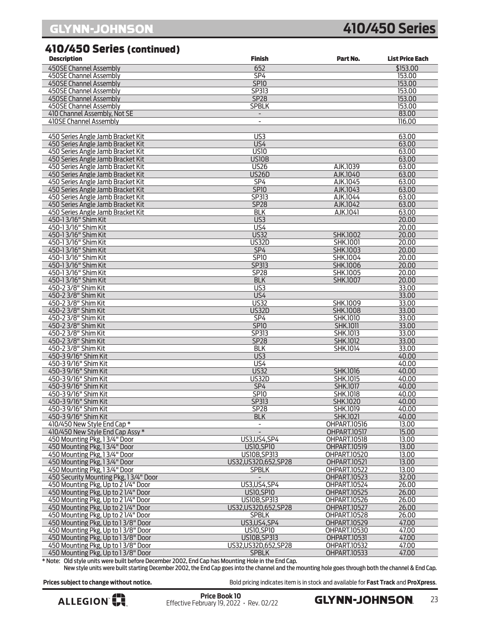## **410/450 Series**

## 410/450 Series (continued)

| <b>Description</b>                                                       | <b>Finish</b>                            | Part No.                     | <b>List Price Each</b> |
|--------------------------------------------------------------------------|------------------------------------------|------------------------------|------------------------|
| 450SE Channel Assembly                                                   | 652                                      |                              | \$153.00               |
| 450SE Channel Assembly                                                   | SP4                                      |                              | 153.00                 |
| 450SE Channel Assembly                                                   | SPIO                                     |                              | 153.00                 |
| 450SE Channel Assembly                                                   | <b>SP313</b>                             |                              | 153.00                 |
| 450SE Channel Assembly                                                   | <b>SP28</b>                              |                              | 153.00                 |
| 450SE Channel Assembly                                                   | <b>SPBLK</b>                             |                              | 153.00                 |
| 410 Channel Assembly, Not SE                                             | $\overline{\phantom{a}}$                 |                              | 83.00                  |
| 410SE Channel Assembly                                                   | $\overline{\phantom{a}}$                 |                              | 116.00                 |
|                                                                          |                                          |                              |                        |
| 450 Series Angle Jamb Bracket Kit                                        | US3                                      |                              | 63.00                  |
| 450 Series Angle Jamb Bracket Kit                                        | US <sub>4</sub>                          |                              | 63.00                  |
| 450 Series Angle Jamb Bracket Kit                                        | <b>US10</b>                              |                              | 63.00                  |
| 450 Series Angle Jamb Bracket Kit                                        | <b>US10B</b>                             |                              | 63.00                  |
| 450 Series Angle Jamb Bracket Kit                                        | <b>US26</b>                              | AJK.1039                     | 63.00                  |
| 450 Series Angle Jamb Bracket Kit                                        | <b>US26D</b>                             | AJK.1040                     | 63.00                  |
| 450 Series Angle Jamb Bracket Kit                                        | SP4                                      | AJK.1045                     | 63.00                  |
| 450 Series Angle Jamb Bracket Kit                                        | <b>SP10</b>                              | AJK.1043                     | 63.00                  |
| 450 Series Angle Jamb Bracket Kit                                        | <b>SP313</b><br><b>SP28</b>              | AJK.1044<br>AJK.1042         | 63.00<br>63.00         |
| 450 Series Angle Jamb Bracket Kit                                        | <b>BLK</b>                               | AJK.1041                     | 63.00                  |
| 450 Series Angle Jamb Bracket Kit<br>450-13/16" Shim Kit                 | US3                                      |                              | 20.00                  |
| 450-13/16" Shim Kit                                                      | $\overline{US4}$                         |                              | 20.00                  |
| 450-13/16" Shim Kit                                                      | <b>US32</b>                              | <b>SHK.1002</b>              | 20.00                  |
| 450-13/16" Shim Kit                                                      | <b>US32D</b>                             | SHK.1001                     | 20.00                  |
| 450-13/16" Shim Kit                                                      | SP4                                      | SHK.1003                     | 20.00                  |
| 450-13/16" Shim Kit                                                      | <b>SP10</b>                              | SHK.1004                     | 20.00                  |
| 450-13/16" Shim Kit                                                      | <b>SP313</b>                             | SHK.1006                     | 20.00                  |
| 450-13/16" Shim Kit                                                      | <b>SP28</b>                              | SHK.1005                     | 20.00                  |
| 450-13/16" Shim Kit                                                      | <b>BLK</b>                               | SHK.1007                     | 20.00                  |
| 450-2 3/8" Shim Kit                                                      | U <sub>S3</sub>                          |                              | 33.00                  |
| 450-2 3/8" Shim Kit                                                      | US4                                      |                              | 33.00                  |
| 450-2 3/8" Shim Kit                                                      | $\overline{US32}$                        | <b>SHK.1009</b>              | 33.00                  |
| 450-2 3/8" Shim Kit                                                      | <b>US32D</b>                             | <b>SHK.1008</b>              | 33.00                  |
| 450-2 3/8" Shim Kit                                                      | SP4                                      | SHK.1010                     | 33.00                  |
| 450-2 3/8" Shim Kit                                                      | <b>SP10</b>                              | SHK.1011                     | 33.00                  |
| 450-2 3/8" Shim Kit                                                      | SP313                                    | SHK.1013                     | 33.00                  |
| 450-2 3/8" Shim Kit                                                      | <b>SP28</b>                              | SHK.1012                     | 33.00                  |
| 450-2 3/8" Shim Kit                                                      | <b>BLK</b>                               | SHK.1014                     | 33.00                  |
| 450-3 9/16" Shim Kit                                                     | $\overline{US3}$                         |                              | 40.00                  |
| 450-3 9/16" Shim Kit<br>450-3 9/16" Shim Kit                             | $\overline{US4}$<br>$\overline{US32}$    | <b>SHK.1016</b>              | 40.00<br>40.00         |
| 450-3 9/16" Shim Kit                                                     | <b>US32D</b>                             | SHK.1015                     | 40.00                  |
| 450-3 9/16" Shim Kit                                                     | SP4                                      | <b>SHK.1017</b>              | 40.00                  |
| 450-3 9/16" Shim Kit                                                     | <b>SP10</b>                              | SHK.1018                     | 40.00                  |
| 450-3 9/16" Shim Kit                                                     | <b>SP313</b>                             | <b>SHK.1020</b>              | 40.00                  |
| 450-3 9/16" Shim Kit                                                     | <b>SP28</b>                              | SHK.1019                     | 40.00                  |
| 450-3 9/16" Shim Kit                                                     | <b>BLK</b>                               | SHK.1021                     | 40.00                  |
| 410/450 New Style End Cap*                                               | $\overline{\phantom{a}}$                 | OHPART.10516                 | 13.00                  |
| 410/450 New Style End Cap Assy *                                         | $\overline{\phantom{a}}$                 | <b>OHPART.10517</b>          | 15.00                  |
| 450 Mounting Pkg, 13/4" Door                                             | US3,US4,SP4                              | OHPART.10518                 | 13.00                  |
| 450 Mounting Pkg, 13/4" Door                                             | <b>US10, SP10</b>                        | <b>OHPART.10519</b>          | 13.00                  |
| 450 Mounting Pkg, 13/4" Door                                             | <b>US10B, SP313</b>                      | OHPART.10520                 | 13.00                  |
| 450 Mounting Pkg, 13/4" Door                                             | US32, US32D, 652, SP28                   | <b>OHPART.10521</b>          | 13.00                  |
| 450 Mounting Pkg, 13/4" Door                                             | <b>SPBLK</b>                             | <b>OHPART.10522</b>          | 13.00                  |
| 450 Security Mounting Pkg, 13/4" Door                                    |                                          | <b>OHPART.10523</b>          | 32.00                  |
| 450 Mounting Pkg, Up to 2 1/4" Door                                      | US3, US4, SP4                            | OHPART.10524                 | 26.00                  |
| 450 Mounting Pkg, Up to 2 1/4" Door                                      | <b>US10, SP10</b>                        | <b>OHPART.10525</b>          | 26.00                  |
| 450 Mounting Pkg, Up to 21/4" Door                                       | <b>US10B, SP313</b>                      | OHPART.10526                 | 26.00                  |
| 450 Mounting Pkg, Up to 21/4" Door                                       | US32, US32D, 652, SP28                   | <b>OHPART.10527</b>          | 26.00                  |
| 450 Mounting Pkg, Up to 21/4" Door                                       | <b>SPBLK</b>                             | OHPART.10528                 | 26.00                  |
| 450 Mounting Pkg, Up to 13/8" Door<br>450 Mounting Pkg, Up to 13/8" Door | <b>US3, US4, SP4</b>                     | OHPART.10529<br>OHPART.10530 | 47.00<br>47.00         |
| 450 Mounting Pkg, Up to 13/8" Door                                       | <b>US10, SP10</b><br><b>USIOB, SP313</b> | <b>OHPART.10531</b>          | 47.00                  |
| 450 Mounting Pkg, Up to 13/8" Door                                       | US32, US32D, 652, SP28                   | <b>OHPART.10532</b>          | 47.00                  |
| 450 Mounting Pkg, Up to 13/8" Door                                       | <b>SPBLK</b>                             | <b>OHPART.10533</b>          | 47.00                  |
|                                                                          |                                          |                              |                        |

\* Note: Old style units were built before December 2002, End Cap has Mounting Hole in the End Cap. New style units were built starting December 2002, the End Cap goes into the channel and the mounting hole goes through both the channel & End Cap.

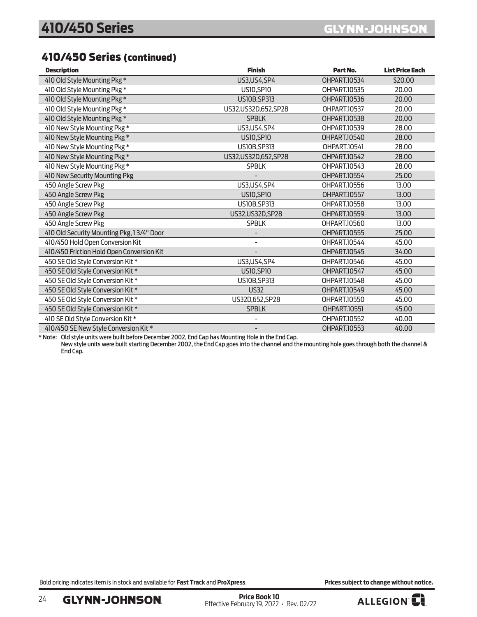## 410/450 Series (continued)

| <b>Description</b>                        | <b>Finish</b>          | Part No.            | <b>List Price Each</b> |
|-------------------------------------------|------------------------|---------------------|------------------------|
| 410 Old Style Mounting Pkg *              | <b>US3, US4, SP4</b>   | <b>OHPART.10534</b> | \$20.00                |
| 410 Old Style Mounting Pkg *              | <b>US10, SP10</b>      | OHPART.10535        | 20.00                  |
| 410 Old Style Mounting Pkg *              | <b>US10B, SP313</b>    | OHPART.10536        | 20.00                  |
| 410 Old Style Mounting Pkg *              | US32.US32D.652.SP28    | OHPART.10537        | 20.00                  |
| 410 Old Style Mounting Pkg *              | <b>SPBLK</b>           | <b>OHPART.10538</b> | 20.00                  |
| 410 New Style Mounting Pkg *              | US3, US4, SP4          | OHPART.10539        | 28.00                  |
| 410 New Style Mounting Pkg *              | <b>US10.SP10</b>       | OHPART.10540        | 28.00                  |
| 410 New Style Mounting Pkg *              | <b>US10B, SP313</b>    | OHPART.10541        | 28.00                  |
| 410 New Style Mounting Pkg *              | US32, US32D, 652, SP28 | <b>OHPART.10542</b> | 28.00                  |
| 410 New Style Mounting Pkg *              | <b>SPBLK</b>           | OHPART.10543        | 28.00                  |
| 410 New Security Mounting Pkg             |                        | OHPART.10554        | 25.00                  |
| 450 Angle Screw Pkg                       | US3, US4, SP4          | OHPART.10556        | 13.00                  |
| 450 Angle Screw Pkg                       | <b>US10, SP10</b>      | <b>OHPART.10557</b> | 13.00                  |
| 450 Angle Screw Pkg                       | <b>US10B, SP313</b>    | OHPART.10558        | 13.00                  |
| 450 Angle Screw Pkg                       | US32, US32D, SP28      | <b>OHPART.10559</b> | 13.00                  |
| 450 Angle Screw Pkg                       | <b>SPBLK</b>           | OHPART.10560        | 13.00                  |
| 410 Old Security Mounting Pkg, 13/4" Door |                        | <b>OHPART.10555</b> | 25.00                  |
| 410/450 Hold Open Conversion Kit          |                        | OHPART.10544        | 45.00                  |
| 410/450 Friction Hold Open Conversion Kit |                        | <b>OHPART.10545</b> | 34.00                  |
| 450 SE Old Style Conversion Kit *         | US3, US4, SP4          | OHPART.10546        | 45.00                  |
| 450 SE Old Style Conversion Kit *         | <b>US10, SP10</b>      | OHPART.10547        | 45.00                  |
| 450 SE Old Style Conversion Kit *         | <b>USIOB, SP313</b>    | OHPART.10548        | 45.00                  |
| 450 SE Old Style Conversion Kit *         | <b>US32</b>            | OHPART.10549        | 45.00                  |
| 450 SE Old Style Conversion Kit *         | US32D,652,SP28         | OHPART.10550        | 45.00                  |
| 450 SE Old Style Conversion Kit *         | <b>SPBLK</b>           | <b>OHPART.10551</b> | 45.00                  |
| 410 SE Old Style Conversion Kit *         |                        | OHPART.10552        | 40.00                  |
| 410/450 SE New Style Conversion Kit *     |                        | <b>OHPART.10553</b> | 40.00                  |

\* Note: Old style units were built before December 2002, End Cap has Mounting Hole in the End Cap.

New style units were built starting December 2002, the End Cap goes into the channel and the mounting hole goes through both the channel & End Cap.

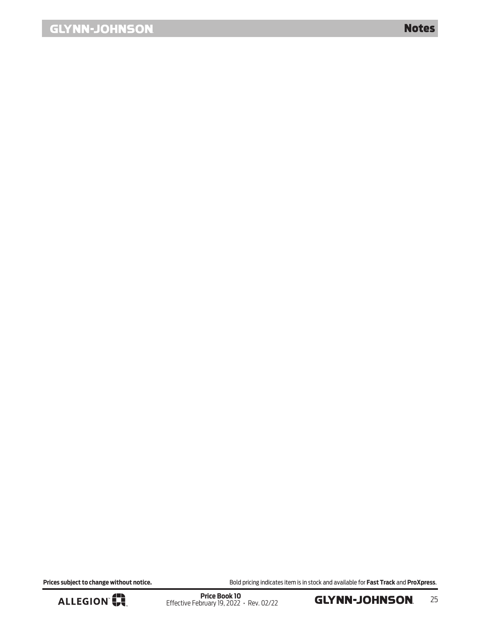**Prices subject to change without notice. Bold pricing indicates item is in stock and available for <b>Fast Track** and **ProXpress**.

**Price Book 10**<br>Effective February 19, 2022 • Rev. 02/22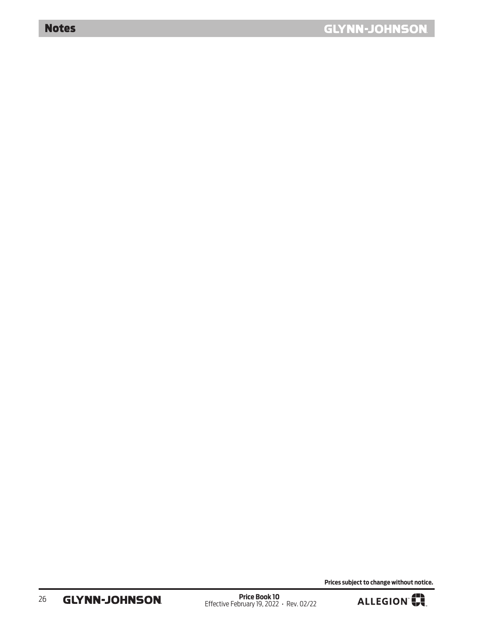**Prices subject to change without notice.**

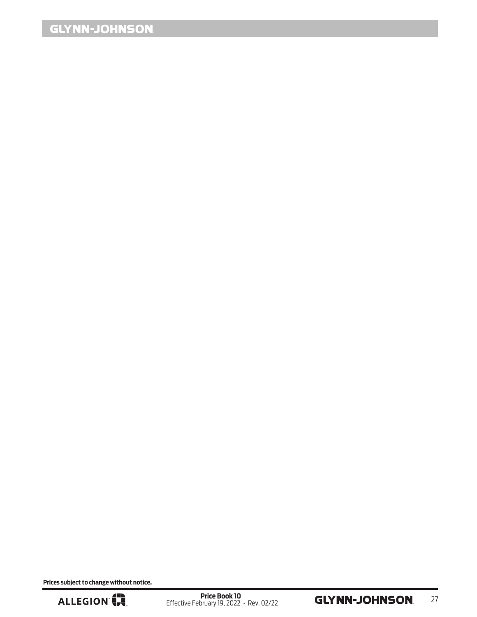## **GLYNN-JOHNSON**

 **Prices subject to change without notice.**